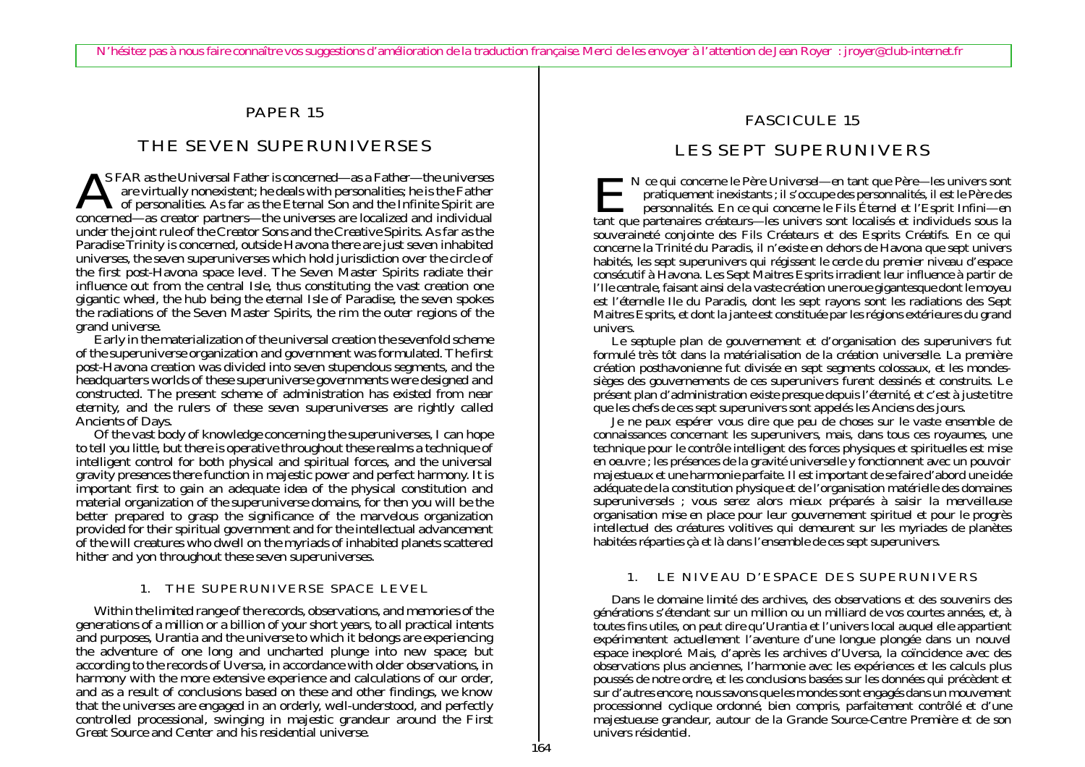# PAPER 15

# THE SEVEN SUPERUNIVERSES

S FAR as the Universal Father is concerned—as a Father—the universes<br>are virtually nonexistent; he deals with personalities; he is the Father<br>of personalities. As far as the Eternal Son and the Infinite Spirit are are virtually nonexistent; he deals with personalities; he is the Father of personalities. As far as the Eternal Son and the Infinite Spirit are concerned—as creator partners—the universes are localized and individual under the joint rule of the Creator Sons and the Creative Spirits. As far as the Paradise Trinity is concerned, outside Havona there are just seven inhabited universes, the seven superuniverses which hold jurisdiction over the circle of the first post-Havona space level. The Seven Master Spirits radiate their influence out from the central Isle, thus constituting the vast creation one gigantic wheel, the hub being the eternal Isle of Paradise, the seven spokes the radiations of the Seven Master Spirits, the rim the outer regions of the grand universe.

Early in the materialization of the universal creation the sevenfold scheme of the superuniverse organization and government was formulated. The first post-Havona creation was divided into seven stupendous segments, and the headquarters worlds of these superuniverse governments were designed and constructed. The present scheme of administration has existed from near eternity, and the rulers of these seven superuniverses are rightly called Ancients of Days.

Of the vast body of knowledge concerning the superuniverses, I can hope to tell you little, but there is operative throughout these realms a technique of intelligent control for both physical and spiritual forces, and the universal gravity presences there function in majestic power and perfect harmony. It is important first to gain an adequate idea of the physical constitution and material organization of the superuniverse domains, for then you will be the better prepared to grasp the significance of the marvelous organization provided for their spiritual government and for the intellectual advancement of the will creatures who dwell on the myriads of inhabited planets scattered hither and yon throughout these seven superuniverses.

## 1. THE SUPERUNIVERSE SPACE LEVEL

Within the limited range of the records, observations, and memories of the generations of a million or a billion of your short years, to all practical intents and purposes, Urantia and the universe to which it belongs are experiencing the adventure of one long and uncharted plunge into new space; but according to the records of Uversa, in accordance with older observations, in harmony with the more extensive experience and calculations of our order, and as a result of conclusions based on these and other findings, we know that the universes are engaged in an orderly, well-understood, and perfectly controlled processional, swinging in majestic grandeur around the First Great Source and Center and his residential universe.

# FASCICULE 15

# LES SEPT SUPERUNIVERS

EN ce qui concerne le Père Universel—en tant que Père—les univers sont pratiquement inexistants ; il s'occupe des personnalités, il est le Père des personnalités. En ce qui concerne le Fils Éternel et l'Esprit Infini—en tant que partenaires créateurs—les univers sont localisés et individuels sous la souveraineté conjointe des Fils Créateurs et des Esprits Créatifs. En ce qui concerne la Trinité du Paradis, il n'existe en dehors de Havona que sept univers habités, les sept superunivers qui régissent le cercle du premier niveau d'espace consécutif à Havona. Les Sept Maitres Esprits irradient leur influence à partir de l'Ile centrale, faisant ainsi de la vaste création une roue gigantesque dont le moyeu est l'éternelle Ile du Paradis, dont les sept rayons sont les radiations des Sept Maitres Esprits, et dont la jante est constituée par les régions extérieures du grand univers.

Le septuple plan de gouvernement et d'organisation des superunivers fut formulé très tôt dans la matérialisation de la création universelle. La première création posthavonienne fut divisée en sept segments colossaux, et les mondessièges des gouvernements de ces superunivers furent dessinés et construits. Le présent plan d'administration existe presque depuis l'éternité, et c'est à juste titre que les chefs de ces sept superunivers sont appelés les Anciens des jours.

Je ne peux espérer vous dire que peu de choses sur le vaste ensemble de connaissances concernant les superunivers, mais, dans tous ces royaumes, une technique pour le contrôle intelligent des forces physiques et spirituelles est mise en oeuvre ; les présences de la gravité universelle y fonctionnent avec un pouvoir majestueux et une harmonie parfaite. Il est important de se faire d'abord une idée adéquate de la constitution physique et de l'organisation matérielle des domaines superuniversels ; vous serez alors mieux préparés à saisir la merveilleuse organisation mise en place pour leur gouvernement spirituel et pour le progrès intellectuel des créatures volitives qui demeurent sur les myriades de planètes habitées réparties çà et là dans l'ensemble de ces sept superunivers.

## 1. LE NIVEAU D'ESPACE DES SUPERUNIVERS

Dans le domaine limité des archives, des observations et des souvenirs des générations s'étendant sur un million ou un milliard de vos courtes années, et, à toutes fins utiles, on peut dire qu'Urantia et l'univers local auquel elle appartient expérimentent actuellement l'aventure d'une longue plongée dans un nouvel espace inexploré. Mais, d'après les archives d'Uversa, la coïncidence avec des observations plus anciennes, l'harmonie avec les expériences et les calculs plus poussés de notre ordre, et les conclusions basées sur les données qui précèdent et sur d'autres encore, nous savons que les mondes sont engagés dans un mouvement processionnel cyclique ordonné, bien compris, parfaitement contrôlé et d'une majestueuse grandeur, autour de la Grande Source-Centre Première et de son univers résidentiel.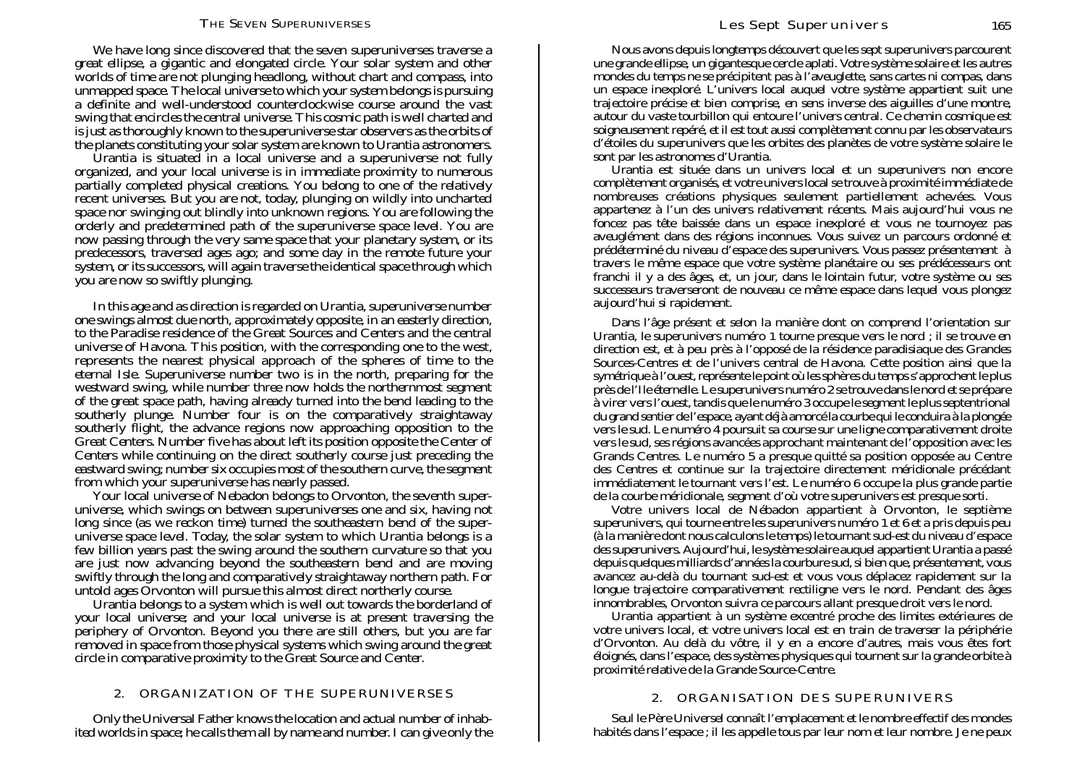We have long since discovered that the seven superuniverses traverse a great ellipse, a gigantic and elongated circle. Your solar system and other worlds of time are not plunging headlong, without chart and compass, into unmapped space. The local universe to which your system belongs is pursuing <sup>a</sup> definite and well-understood counterclockwise course around the vast swing that encircles the central universe. This cosmic path is well charted and is just as thoroughly known to the superuniverse star observers as the orbits of the planets constituting your solar system are known to Urantia astronomers.

Urantia is situated in a local universe and a superuniverse not fully organized, and your local universe is in immediate proximity to numerous partially completed physical creations. You belong to one of the relatively recent universes. But you are not, today, plunging on wildly into uncharted space nor swinging out blindly into unknown regions. You are following the orderly and predetermined path of the superuniverse space level. You are now passing through the very same space that your planetary system, or its predecessors, traversed ages ago; and some day in the remote future your system, or its successors, will again traverse the identical space through which you are now so swiftly plunging.

In this age and as direction is regarded on Urantia, superuniverse number one swings almost due north, approximately opposite, in an easterly direction, to the Paradise residence of the Great Sources and Centers and the central universe of Havona. This position, with the corresponding one to the west, represents the nearest physical approach of the spheres of time to the eternal Isle. Superuniverse number two is in the north, preparing for the westward swing, while number three now holds the northernmost segment of the great space path, having already turned into the bend leading to the southerly plunge. Number four is on the comparatively straightaway southerly flight, the advance regions now approaching opposition to the Great Centers. Number five has about left its position opposite the Center of Centers while continuing on the direct southerly course just preceding the eastward swing; number six occupies most of the southern curve, the segment from which your superuniverse has nearly passed.

Your local universe of Nebadon belongs to Orvonton, the seventh superuniverse, which swings on between superuniverses one and six, having not long since (as we reckon time) turned the southeastern bend of the superuniverse space level. Today, the solar system to which Urantia belongs is a few billion years past the swing around the southern curvature so that you are just now advancing beyond the southeastern bend and are moving swiftly through the long and comparatively straightaway northern path. For untold ages Orvonton will pursue this almost direct northerly course.

Urantia belongs to a system which is well out towards the borderland of your local universe; and your local universe is at present traversing the periphery of Orvonton. Beyond you there are still others, but you are far removed in space from those physical systems which swing around the great circle in comparative proximity to the Great Source and Center.

#### 2. ORGANIZATION OF THE SUPERUNIVERSES

Only the Universal Father knows the location and actual number of inhabited worlds in space; he calls them all by name and number. I can give only the

Nous avons depuis longtemps découvert que les sept superunivers parcourent une grande ellipse, un gigantesque cercle aplati. Votre système solaire et les autres mondes du temps ne se précipitent pas à l'aveuglette, sans cartes ni compas, dans un espace inexploré. L'univers local auquel votre système appartient suit une trajectoire précise et bien comprise, en sens inverse des aiguilles d'une montre, autour du vaste tourbillon qui entoure l'univers central. Ce chemin cosmique est soigneusement repéré, et il est tout aussi complètement connu par les observateurs d'étoiles du superunivers que les orbites des planètes de votre système solaire le sont par les astronomes d'Urantia.

Urantia est située dans un univers local et un superunivers non encore complètement organisés, et votre univers local se trouve à proximité immédiate de nombreuses créations physiques seulement partiellement achevées. Vous appartenez à l'un des univers relativement récents. Mais aujourd'hui vous ne foncez pas tête baissée dans un espace inexploré et vous ne tournoyez pas aveuglément dans des régions inconnues. Vous suivez un parcours ordonné et prédéterminé du niveau d'espace des superunivers. Vous passez présentement à travers le même espace que votre système planétaire ou ses prédécesseurs ont franchi il y a des âges, et, un jour, dans le lointain futur, votre système ou ses successeurs traverseront de nouveau ce même espace dans lequel vous plongez aujourd'hui si rapidement.

Dans l'âge présent et selon la manière dont on comprend l'orientation sur Urantia, le superunivers numéro 1 tourne presque vers le nord ; il se trouve en direction est, et à peu près à l'opposé de la résidence paradisiaque des Grandes Sources-Centres et de l'univers central de Havona. Cette position ainsi que la symétrique à l'ouest, représente le point où les sphères du temps s'approchent le plus près de l'Ile éternelle. Le superunivers numéro 2 se trouve dans le nord et se prépare à virer vers l'ouest, tandis que le numéro 3 occupe le segment le plus septentrional du grand sentier de l'espace, ayant déjà amorcé la courbe qui le conduira à la plongée vers le sud. Le numéro 4 poursuit sa course sur une ligne comparativement droite vers le sud, ses régions avancées approchant maintenant de l'opposition avec les Grands Centres. Le numéro 5 a presque quitté sa position opposée au Centre des Centres et continue sur la trajectoire directement méridionale précédant immédiatement le tournant vers l'est. Le numéro 6 occupe la plus grande partie de la courbe méridionale, segment d'où votre superunivers est presque sorti.

Votre univers local de Nébadon appartient à Orvonton, le septième superunivers, qui tourne entre les superunivers numéro 1 et 6 et a pris depuis peu (à la manière dont nous calculons le temps) le tournant sud-est du niveau d'espace des superunivers. Aujourd'hui, le système solaire auquel appartient Urantia a passé depuis quelques milliards d'années la courbure sud, si bien que, présentement, vous avancez au-delà du tournant sud-est et vous vous déplacez rapidement sur la longue trajectoire comparativement rectiligne vers le nord. Pendant des âges innombrables, Orvonton suivra ce parcours allant presque droit vers le nord.

Urantia appartient à un système excentré proche des limites extérieures de votre univers local, et votre univers local est en train de traverser la périphérie d'Orvonton. Au delà du vôtre, il y en a encore d'autres, mais vous êtes fort éloignés, dans l'espace, des systèmes physiques qui tournent sur la grande orbite à proximité relative de la Grande Source-Centre.

#### 2. ORGANISATION DES SUPERUNIVERS

Seul le Père Universel connaît l'emplacement et le nombre effectif des mondes habités dans l'espace ; il les appelle tous par leur nom et leur nombre. Je ne peux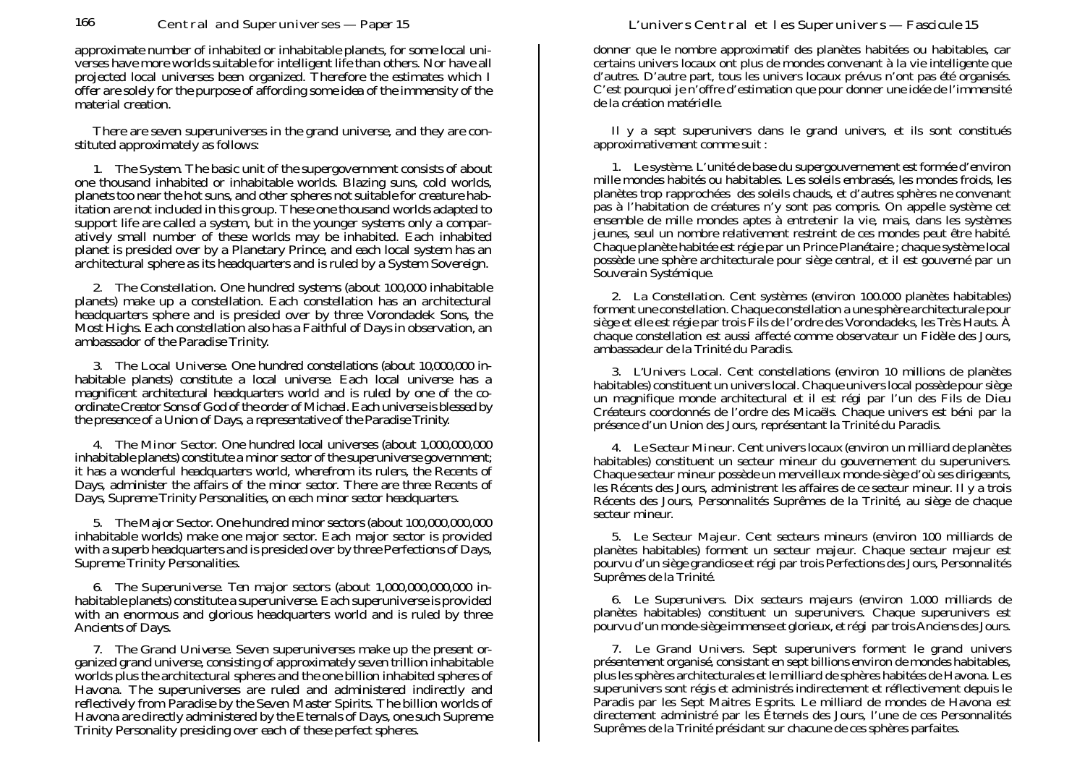approximate number of inhabited or inhabitable planets, for some local universes have more worlds suitable for intelligent life than others. Nor have all projected local universes been organized. Therefore the estimates which I offer are solely for the purpose of affording some idea of the immensity of the material creation.

There are seven superuniverses in the grand universe, and they are constituted approximately as follows:

1. *The System.* The basic unit of the supergovernment consists of about one thousand inhabited or inhabitable worlds. Blazing suns, cold worlds, planets too near the hot suns, and other spheres not suitable for creature habitation are not included in this group. These one thousand worlds adapted to support life are called a system, but in the younger systems only a comparatively small number of these worlds may be inhabited. Each inhabited planet is presided over by a Planetary Prince, and each local system has an architectural sphere as its headquarters and is ruled by a System Sovereign.

2. *The Constellation.* One hundred systems (about 100,000 inhabitable planets) make up a constellation. Each constellation has an architectural headquarters sphere and is presided over by three Vorondadek Sons, the Most Highs. Each constellation also has a Faithful of Days in observation, an ambassador of the Paradise Trinity.

3. *The Local Universe.* One hundred constellations (about 10,000,000 inhabitable planets) constitute a local universe. Each local universe has a magnificent architectural headquarters world and is ruled by one of the coordinate Creator Sons of God of the order of Michael. Each universe is blessed by the presence of a Union of Days, a representative of the Paradise Trinity.

4. *The Minor Sector.* One hundred local universes (about 1,000,000,000 inhabitable planets) constitute a minor sector of the superuniverse government; it has a wonderful headquarters world, wherefrom its rulers, the Recents of Days, administer the affairs of the minor sector. There are three Recents of Days, Supreme Trinity Personalities, on each minor sector headquarters.

<sup>5</sup>. *The Major Sector.* One hundred minor sectors (about 100,000,000,000 inhabitable worlds) make one major sector. Each major sector is provided with a superb headquarters and is presided over by three Perfections of Days, Supreme Trinity Personalities.

<sup>6</sup>. *The Superuniverse.* Ten major sectors (about 1,000,000,000,000 in- habitable planets) constitute a superuniverse. Each superuniverse is provided with an enormous and glorious headquarters world and is ruled by three Ancients of Days.

7. *The Grand Universe.* Seven superuniverses make up the present organized grand universe, consisting of approximately seven trillion inhabitable worlds plus the architectural spheres and the one billion inhabited spheres of Havona. The superuniverses are ruled and administered indirectly and reflectively from Paradise by the Seven Master Spirits. The billion worlds of Havona are directly administered by the Eternals of Days, one such Supreme Trinity Personality presiding over each of these perfect spheres.

donner que le nombre approximatif des planètes habitées ou habitables, car certains univers locaux ont plus de mondes convenant à la vie intelligente que d'autres. D'autre part, tous les univers locaux prévus n'ont pas été organisés. C'est pourquoi je n'offre d'estimation que pour donner une idée de l'immensité de la création matérielle.

Il y a sept superunivers dans le grand univers, et ils sont constitués approximativement comme suit :

1*. Le système.* L'unité de base du supergouvernement est formée d'environ mille mondes habités ou habitables. Les soleils embrasés, les mondes froids, les planètes trop rapprochées des soleils chauds, et d'autres sphères ne convenant pas à l'habitation de créatures n'y sont pas compris. On appelle système cet ensemble de mille mondes aptes à entretenir la vie, mais, dans les systèmes jeunes, seul un nombre relativement restreint de ces mondes peut être habité. Chaque planète habitée est régie par un Prince Planétaire ; chaque système local possède une sphère architecturale pour siège central, et il est gouverné par un Souverain Systémique.

2. *La Constellation*. Cent systèmes (environ 100.000 planètes habitables) forment une constellation. Chaque constellation a une sphère architecturale pour siège et elle est régie par trois Fils de l'ordre des Vorondadeks, les Très Hauts. À chaque constellation est aussi affecté comme observateur un Fidèle des Jours, ambassadeur de la Trinité du Paradis.

3. *L'Univers Local*. Cent constellations (environ 10 millions de planètes habitables) constituent un univers local. Chaque univers local possède pour siège un magnifique monde architectural et il est régi par l'un des Fils de Dieu Créateurs coordonnés de l'ordre des Micaëls. Chaque univers est béni par la présence d'un Union des Jours, représentant la Trinité du Paradis.

4. *Le Secteur Mineur*. Cent univers locaux (environ un milliard de planètes habitables) constituent un secteur mineur du gouvernement du superunivers. Chaque secteur mineur possède un merveilleux monde-siège d'où ses dirigeants, les Récents des Jours, administrent les affaires de ce secteur mineur. Il y a trois Récents des Jours, Personnalités Suprêmes de la Trinité, au siège de chaque secteur mineur.

5. *Le Secteur Majeur*. Cent secteurs mineurs (environ 100 milliards de planètes habitables) forment un secteur majeur. Chaque secteur majeur est pourvu d'un siège grandiose et régi par trois Perfections des Jours, Personnalités Suprêmes de la Trinité.

6. *Le Superunivers*. Dix secteurs majeurs (environ <sup>1</sup>.000 milliards de planètes habitables) constituent un superunivers. Chaque superunivers est pourvu d'un monde-siège immense et glorieux, et régi par trois Anciens des Jours.

7. *Le Grand Univers*. Sept superunivers forment le grand univers présentement organisé, consistant en sept billions environ de mondes habitables, plus les sphères architecturales et le milliard de sphères habitées de Havona. Les superunivers sont régis et administrés indirectement et réflectivement depuis le Paradis par les Sept Maitres Esprits. Le milliard de mondes de Havona est directement administré par les Éternels des Jours, l'une de ces Personnalités Suprêmes de la Trinité présidant sur chacune de ces sphères parfaites.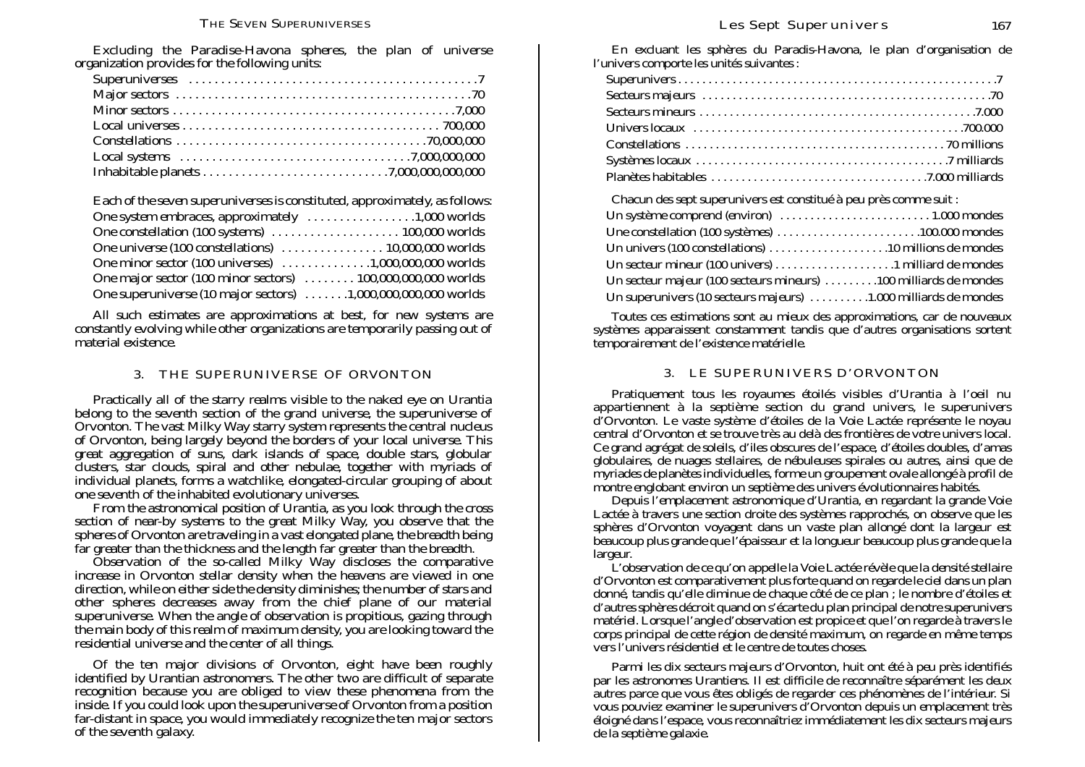Excluding the Paradise-Havona spheres, the plan of universe organization provides for the following units:

| Local systems $\ldots \ldots \ldots \ldots \ldots \ldots \ldots \ldots \ldots \ldots \ldots \ldots$ . 7,000,000,000 |  |
|---------------------------------------------------------------------------------------------------------------------|--|
|                                                                                                                     |  |

| Each of the seven superuniverses is constituted, approximately, as follows: |  |
|-----------------------------------------------------------------------------|--|
| One system embraces, approximately 1,000 worlds                             |  |
|                                                                             |  |
|                                                                             |  |
|                                                                             |  |
| One major sector $(100 \text{ minor sectors})$ $100,000,000,000$ worlds     |  |
| One superuniverse $(10 \text{ major sectors})$ 1,000,000,000,000 worlds     |  |
|                                                                             |  |

All such estimates are approximations at best, for new systems are constantly evolving while other organizations are temporarily passing out of material existence.

#### 3. THE SUPERUNIVERSE OF ORVONTON

Practically all of the starry realms visible to the naked eye on Urantia belong to the seventh section of the grand universe, the superuniverse of Orvonton. The vast Milky Way starry system represents the central nucleus of Orvonton, being largely beyond the borders of your local universe. This great aggregation of suns, dark islands of space, double stars, globular clusters, star clouds, spiral and other nebulae, together with myriads of individual planets, forms a watchlike, elongated-circular grouping of about one seventh of the inhabited evolutionary universes.

From the astronomical position of Urantia, as you look through the cross section of near-by systems to the great Milky Way, you observe that the spheres of Orvonton are traveling in a vast elongated plane, the breadth being far greater than the thickness and the length far greater than the breadth.

Observation of the so-called Milky Way discloses the comparative increase in Orvonton stellar density when the heavens are viewed in one direction, while on either side the density diminishes; the number of stars and other spheres decreases away from the chief plane of our material superuniverse. When the angle of observation is propitious, gazing through the main body of this realm of maximum density, you are looking toward the residential universe and the center of all things.

Of the ten major divisions of Orvonton, eight have been roughly identified by Urantian astronomers. The other two are difficult of separate recognition because you are obliged to view these phenomena from the inside. If you could look upon the superuniverse of Orvonton from a position far-distant in space, you would immediately recognize the ten major sectors of the seventh galaxy.

En excluant les sphères du Paradis-Havona, le plan d'organisation de l'univers comporte les unités suivantes :

Chacun des sept superunivers est constitué à peu près comme suit :

| Une constellation (100 systèmes) 100.000 mondes                  |  |
|------------------------------------------------------------------|--|
|                                                                  |  |
|                                                                  |  |
| Un secteur majeur (100 secteurs mineurs) 100 milliards de mondes |  |
| Un superunivers (10 secteurs majeurs) 1.000 milliards de mondes  |  |
|                                                                  |  |

Toutes ces estimations sont au mieux des approximations, car de nouveaux systèmes apparaissent constamment tandis que d'autres organisations sortent temporairement de l'existence matérielle.

#### 3. LE SUPERUNIVERS D'ORVONTON

Pratiquement tous les royaumes étoilés visibles d'Urantia à l'oeil nu appartiennent à la septième section du grand univers, le superunivers d'Orvonton. Le vaste système d'étoiles de la Voie Lactée représente le noyau central d'Orvonton et se trouve très au delà des frontières de votre univers local. Ce grand agrégat de soleils, d'iles obscures de l'espace, d'étoiles doubles, d'amas globulaires, de nuages stellaires, de nébuleuses spirales ou autres, ainsi que de myriades de planètes individuelles, forme un groupement ovale allongé à profil de montre englobant environ un septième des univers évolutionnaires habités.

Depuis l'emplacement astronomique d'Urantia, en regardant la grande Voie Lactée à travers une section droite des systèmes rapprochés, on observe que les sphères d'Orvonton voyagent dans un vaste plan allongé dont la largeur est beaucoup plus grande que l'épaisseur et la longueur beaucoup plus grande que la largeur.

L'observation de ce qu'on appelle la Voie Lactée révèle que la densité stellaire d'Orvonton est comparativement plus forte quand on regarde le ciel dans un plan donné, tandis qu'elle diminue de chaque côté de ce plan ; le nombre d'étoiles et d'autres sphères décroit quand on s'écarte du plan principal de notre superunivers matériel. Lorsque l'angle d'observation est propice et que l'on regarde à travers le corps principal de cette région de densité maximum, on regarde en même temps vers l'univers résidentiel et le centre de toutes choses.

Parmi les dix secteurs majeurs d'Orvonton, huit ont été à peu près identifiés par les astronomes Urantiens. Il est difficile de reconnaître séparément les deux autres parce que vous êtes obligés de regarder ces phénomènes de l'intérieur. Si vous pouviez examiner le superunivers d'Orvonton depuis un emplacement très éloigné dans l'espace, vous reconnaîtriez immédiatement les dix secteurs majeurs de la septième galaxie.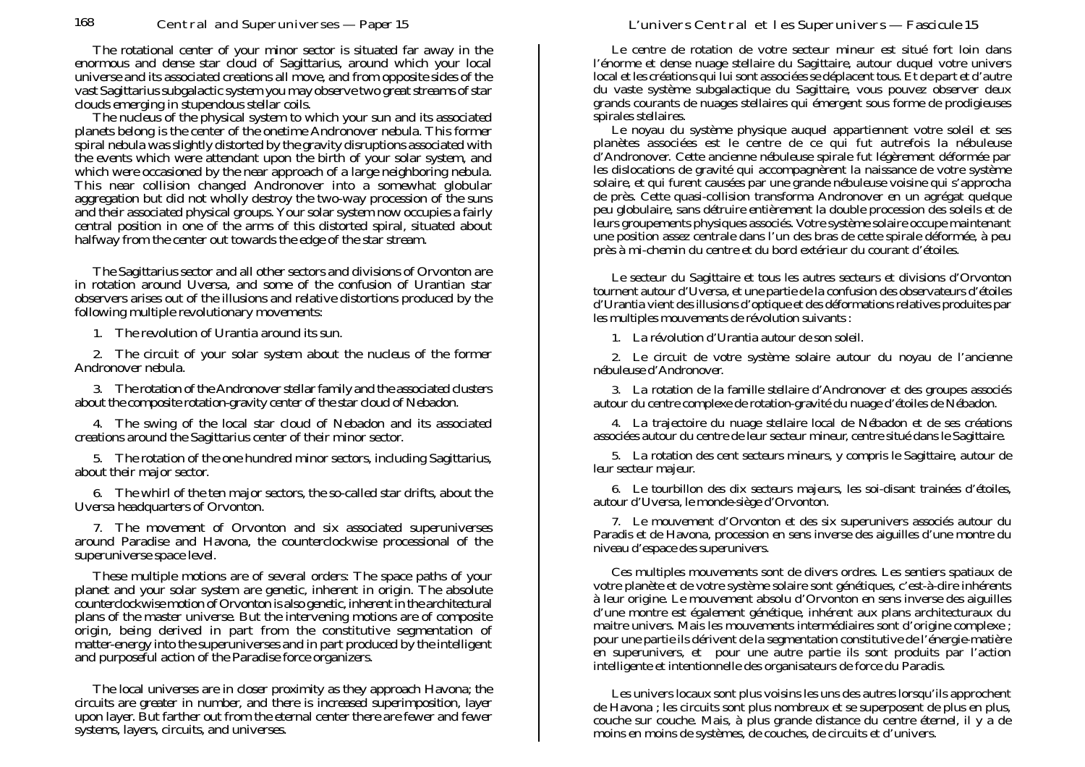The rotational center of your minor sector is situated far away in the enormous and dense star cloud of Sagittarius, around which your local universe and its associated creations all move, and from opposite sides of the vast Sagittarius subgalactic system you may observe two great streams of star clouds emerging in stupendous stellar coils.

The nucleus of the physical system to which your sun and its associated planets belong is the center of the onetime Andronover nebula. This former spiral nebula was slightly distorted by the gravity disruptions associated with the events which were attendant upon the birth of your solar system, and which were occasioned by the near approach of a large neighboring nebula. This near collision changed Andronover into a somewhat globular aggregation but did not wholly destroy the two-way procession of the suns and their associated physical groups. Your solar system now occupies a fairly central position in one of the arms of this distorted spiral, situated about halfway from the center out towards the edge of the star stream.

The Sagittarius sector and all other sectors and divisions of Orvonton are in rotation around Uversa, and some of the confusion of Urantian star observers arises out of the illusions and relative distortions produced by the following multiple revolutionary movements:

1. The revolution of Urantia around its sun.

2. The circuit of your solar system about the nucleus of the former Andronover nebula.

3. The rotation of the Andronover stellar family and the associated clusters about the composite rotation-gravity center of the star cloud of Nebadon.

4. The swing of the local star cloud of Nebadon and its associated creations around the Sagittarius center of their minor sector.

5. The rotation of the one hundred minor sectors, including Sagittarius, about their major sector.

6. The whirl of the ten major sectors, the so-called star drifts, about the Uversa headquarters of Orvonton.

7. The movement of Orvonton and six associated superuniverses around Paradise and Havona, the counterclockwise processional of the superuniverse space level.

These multiple motions are of several orders: The space paths of your planet and your solar system are genetic, inherent in origin. The absolute counterclockwise motion of Orvonton is also genetic, inherent in the architectural plans of the master universe. But the intervening motions are of composite origin, being derived in part from the constitutive segmentation of matter-energy into the superuniverses and in part produced by the intelligent and purposeful action of the Paradise force organizers.

The local universes are in closer proximity as they approach Havona; the circuits are greater in number, and there is increased superimposition, layer upon layer. But farther out from the eternal center there are fewer and fewer systems, layers, circuits, and universes.

# <sup>168</sup> Central and Superuniverses — *Paper <sup>15</sup>* L'univers Central et les Superunivers — *Fascicule <sup>15</sup>*

Le centre de rotation de votre secteur mineur est situé fort loin dans l'énorme et dense nuage stellaire du Sagittaire, autour duquel votre univers local et les créations qui lui sont associées se déplacent tous. Et de part et d'autre du vaste système subgalactique du Sagittaire, vous pouvez observer deux grands courants de nuages stellaires qui émergent sous forme de prodigieuses spirales stellaires.

Le noyau du système physique auquel appartiennent votre soleil et ses planètes associées est le centre de ce qui fut autrefois la nébuleuse d'Andronover. Cette ancienne nébuleuse spirale fut légèrement déformée par les dislocations de gravité qui accompagnèrent la naissance de votre système solaire, et qui furent causées par une grande nébuleuse voisine qui s'approcha de près. Cette quasi-collision transforma Andronover en un agrégat quelque peu globulaire, sans détruire entièrement la double procession des soleils et de leurs groupements physiques associés. Votre système solaire occupe maintenant une position assez centrale dans l'un des bras de cette spirale déformée, à peu près à mi-chemin du centre et du bord extérieur du courant d'étoiles.

Le secteur du Sagittaire et tous les autres secteurs et divisions d'Orvonton tournent autour d'Uversa, et une partie de la confusion des observateurs d'étoiles d'Urantia vient des illusions d'optique et des déformations relatives produites par les multiples mouvements de révolution suivants :

1. La révolution d'Urantia autour de son soleil.

2. Le circuit de votre système solaire autour du noyau de l'ancienne nébuleuse d'Andronover.

3. La rotation de la famille stellaire d'Andronover et des groupes associés autour du centre complexe de rotation-gravité du nuage d'étoiles de Nébadon.

4. La trajectoire du nuage stellaire local de Nébadon et de ses créations associées autour du centre de leur secteur mineur, centre situé dans le Sagittaire.

5. La rotation des cent secteurs mineurs, y compris le Sagittaire, autour de leur secteur majeur.

6. Le tourbillon des dix secteurs majeurs, les soi-disant trainées d'étoiles, autour d'Uversa, le monde-siège d'Orvonton.

7. Le mouvement d'Orvonton et des six superunivers associés autour du Paradis et de Havona, procession en sens inverse des aiguilles d'une montre du niveau d'espace des superunivers.

Ces multiples mouvements sont de divers ordres. Les sentiers spatiaux de votre planète et de votre système solaire sont génétiques, c'est-à-dire inhérents à leur origine. Le mouvement absolu d'Orvonton en sens inverse des aiguilles d'une montre est également génétique, inhérent aux plans architecturaux du maitre univers. Mais les mouvements intermédiaires sont d'origine complexe ; pour une partie ils dérivent de la segmentation constitutive de l'énergie-matière en superunivers, et pour une autre partie ils sont produits par l'action intelligente et intentionnelle des organisateurs de force du Paradis.

Les univers locaux sont plus voisins les uns des autres lorsqu'ils approchent de Havona ; les circuits sont plus nombreux et se superposent de plus en plus, couche sur couche. Mais, à plus grande distance du centre éternel, il y a de moins en moins de systèmes, de couches, de circuits et d'univers.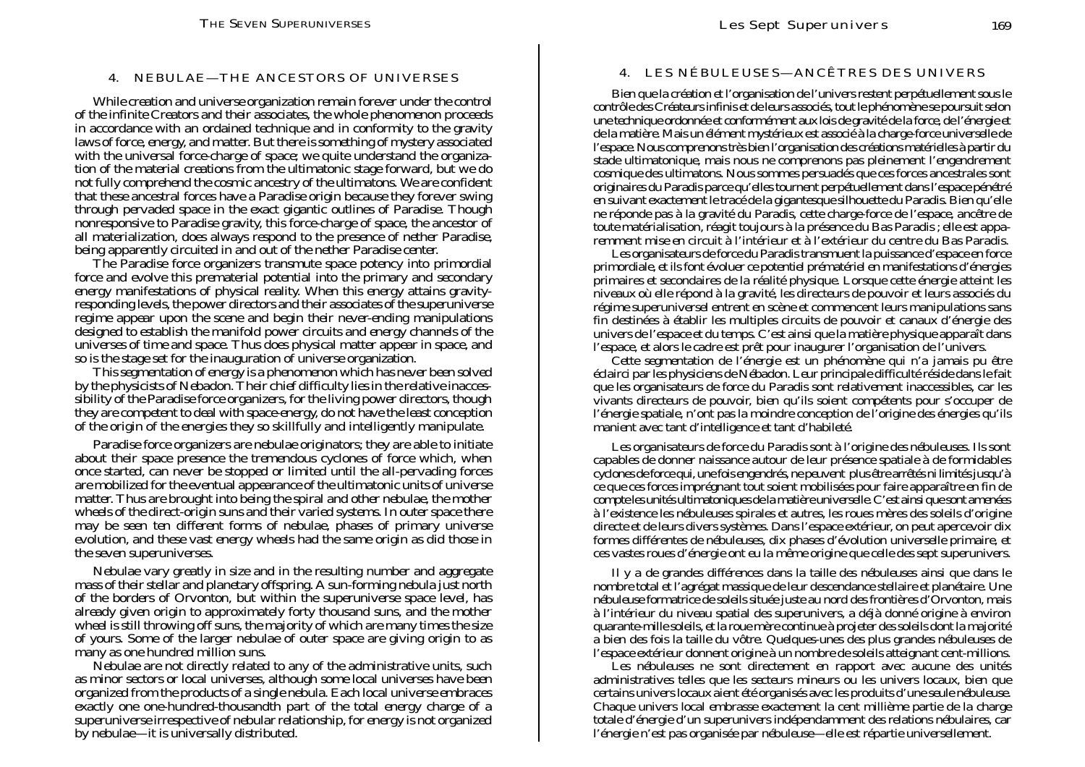## 4. NEBULAE—THE ANCESTORS OF UNIVERSES

While creation and universe organization remain forever under the control of the infinite Creators and their associates, the whole phenomenon proceeds in accordance with an ordained technique and in conformity to the gravity laws of force, energy, and matter. But there is something of mystery associated with the universal force-charge of space; we quite understand the organization of the material creations from the ultimatonic stage forward, but we do not fully comprehend the cosmic ancestry of the ultimatons. We are confident that these ancestral forces have a Paradise origin because they forever swing through pervaded space in the exact gigantic outlines of Paradise. Though nonresponsive to Paradise gravity, this force-charge of space, the ancestor of all materialization, does always respond to the presence of nether Paradise, being apparently circuited in and out of the nether Paradise center.

The Paradise force organizers transmute space potency into primordial force and evolve this prematerial potential into the primary and secondary energy manifestations of physical reality. When this energy attains gravityresponding levels, the power directors and their associates of the superuniverse regime appear upon the scene and begin their never-ending manipulations designed to establish the manifold power circuits and energy channels of the universes of time and space. Thus does physical matter appear in space, and so is the stage set for the inauguration of universe organization.

This segmentation of energy is a phenomenon which has never been solved by the physicists of Nebadon. Their chief difficulty lies in the relative inaccessibility of the Paradise force organizers, for the living power directors, though they are competent to deal with space-energy, do not have the least conception of the origin of the energies they so skillfully and intelligently manipulate.

Paradise force organizers are nebulae originators; they are able to initiate about their space presence the tremendous cyclones of force which, when once started, can never be stopped or limited until the all-pervading forces are mobilized for the eventual appearance of the ultimatonic units of universe matter. Thus are brought into being the spiral and other nebulae, the mother wheels of the direct-origin suns and their varied systems. In outer space there may be seen ten different forms of nebulae, phases of primary universe evolution, and these vast energy wheels had the same origin as did those in the seven superuniverses.

Nebulae vary greatly in size and in the resulting number and aggregate mass of their stellar and planetary offspring. A sun-forming nebula just north of the borders of Orvonton, but within the superuniverse space level, has already given origin to approximately forty thousand suns, and the mother wheel is still throwing off suns, the majority of which are many times the size of yours. Some of the larger nebulae of outer space are giving origin to as many as one hundred million suns.

Nebulae are not directly related to any of the administrative units, such as minor sectors or local universes, although some local universes have been organized from the products of a single nebula. Each local universe embraces exactly one one-hundred-thousandth part of the total energy charge of a superuniverse irrespective of nebular relationship, for energy is not organized by nebulae—it is universally distributed.

## 4. LES NÉBULEUSES—ANCÊTRES DES UNIVERS

Bien que la création et l'organisation de l'univers restent perpétuellement sous le contrôle des Créateurs infinis et de leurs associés, tout le phénomène se poursuit selon une technique ordonnée et conformément aux lois de gravité de la force, de l'énergie et de la matière. Mais un élément mystérieux est associé à la charge-force universelle de l'espace. Nous comprenons très bien l'organisation des créations matérielles à partir du stade ultimatonique, mais nous ne comprenons pas pleinement l'engendrement cosmique des ultimatons. Nous sommes persuadés que ces forces ancestrales sont originaires du Paradis parce qu'elles tournent perpétuellement dans l'espace pénétré en suivant exactement le tracé de la gigantesque silhouette du Paradis. Bien qu'elle ne réponde pas à la gravité du Paradis, cette charge-force de l'espace, ancêtre de toute matérialisation, réagit toujours à la présence du Bas Paradis ; elle est apparemment mise en circuit à l'intérieur et à l'extérieur du centre du Bas Paradis.

Les organisateurs de force du Paradis transmuent la puissance d'espace en force primordiale, et ils font évoluer ce potentiel prématériel en manifestations d'énergies primaires et secondaires de la réalité physique. Lorsque cette énergie atteint les niveaux où elle répond à la gravité, les directeurs de pouvoir et leurs associés du régime superuniversel entrent en scène et commencent leurs manipulations sans fin destinées à établir les multiples circuits de pouvoir et canaux d'énergie des univers de l'espace et du temps. C'est ainsi que la matière physique apparaît dans l'espace, et alors le cadre est prêt pour inaugurer l'organisation de l'univers.

Cette segmentation de l'énergie est un phénomène qui n'a jamais pu être éclairci par les physiciens de Nébadon. Leur principale difficulté réside dans le fait que les organisateurs de force du Paradis sont relativement inaccessibles, car les vivants directeurs de pouvoir, bien qu'ils soient compétents pour s'occuper de l'énergie spatiale, n'ont pas la moindre conception de l'origine des énergies qu'ils manient avec tant d'intelligence et tant d'habileté.

Les organisateurs de force du Paradis sont à l'origine des nébuleuses. Ils sont capables de donner naissance autour de leur présence spatiale à de formidables cyclones de force qui, une fois engendrés, ne peuvent plus être arrêtés ni limités jusqu'à ce que ces forces imprégnant tout soient mobilisées pour faire apparaître en fin de compte les unités ultimatoniques de la matière universelle. C'est ainsi que sont amenées à l'existence les nébuleuses spirales et autres, les roues mères des soleils d'origine directe et de leurs divers systèmes. Dans l'espace extérieur, on peut apercevoir dix formes différentes de nébuleuses, dix phases d'évolution universelle primaire, et ces vastes roues d'énergie ont eu la même origine que celle des sept superunivers.

Il y a de grandes différences dans la taille des nébuleuses ainsi que dans le nombre total et l'agrégat massique de leur descendance stellaire et planétaire. Une nébuleuse formatrice de soleils située juste au nord des frontières d'Orvonton, mais à l'intérieur du niveau spatial des superunivers, a déjà donné origine à environ quarante-mille soleils, et la roue mère continue à projeter des soleils dont la majorité a bien des fois la taille du vôtre. Quelques-unes des plus grandes nébuleuses de l'espace extérieur donnent origine à un nombre de soleils atteignant cent-millions.

Les nébuleuses ne sont directement en rapport avec aucune des unités administratives telles que les secteurs mineurs ou les univers locaux, bien que certains univers locaux aient été organisés avec les produits d'une seule nébuleuse. Chaque univers local embrasse exactement la cent millième partie de la charge totale d'énergie d'un superunivers indépendamment des relations nébulaires, car l'énergie n'est pas organisée par nébuleuse—elle est répartie universellement.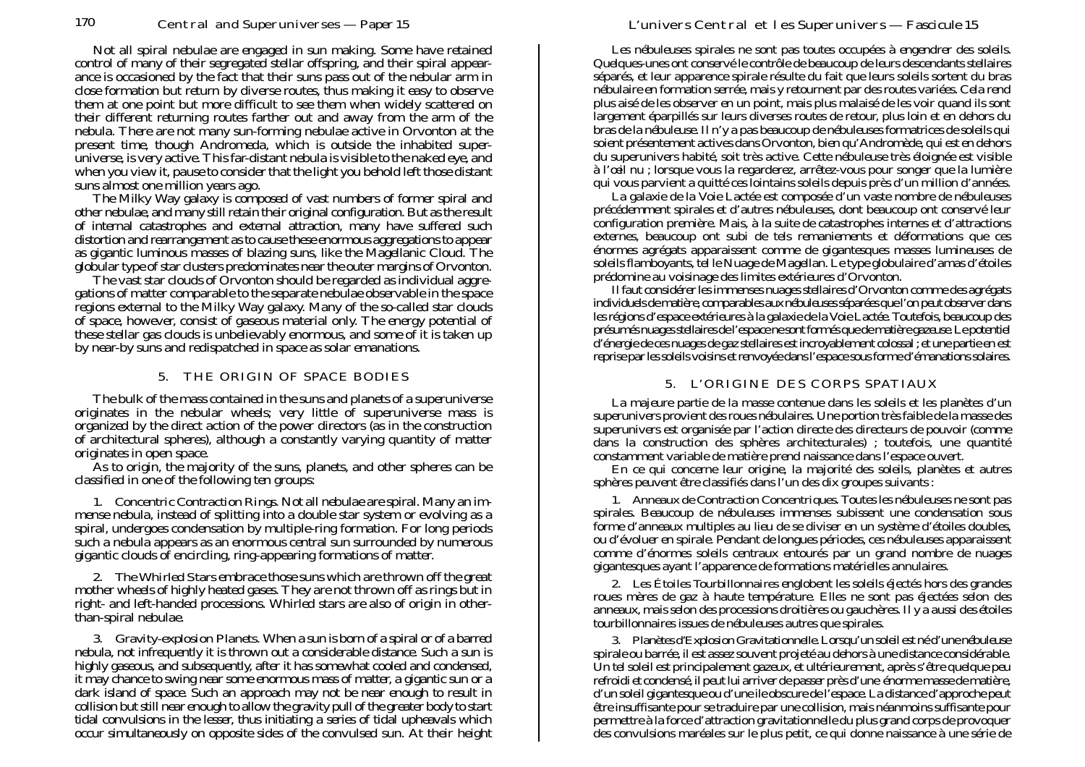Not all spiral nebulae are engaged in sun making. Some have retained control of many of their segregated stellar offspring, and their spiral appearance is occasioned by the fact that their suns pass out of the nebular arm in close formation but return by diverse routes, thus making it easy to observe them at one point but more difficult to see them when widely scattered on their different returning routes farther out and away from the arm of the nebula. There are not many sun-forming nebulae active in Orvonton at the present time, though Andromeda, which is outside the inhabited superuniverse, is very active. This far-distant nebula is visible to the naked eye, and when you view it, pause to consider that the light you behold left those distant suns almost one million years ago.

The Milky Way galaxy is composed of vast numbers of former spiral and other nebulae, and many still retain their original configuration. But as the result of internal catastrophes and external attraction, many have suffered such distortion and rearrangement as to cause these enormous aggregations to appear as gigantic luminous masses of blazing suns, like the Magellanic Cloud. The globular type of star clusters predominates near the outer margins of Orvonton.

The vast star clouds of Orvonton should be regarded as individual aggregations of matter comparable to the separate nebulae observable in the space regions external to the Milky Way galaxy. Many of the so-called star clouds of space, however, consist of gaseous material only. The energy potential of these stellar gas clouds is unbelievably enormous, and some of it is taken up by near-by suns and redispatched in space as solar emanations.

#### 5. THE ORIGIN OF SPACE BODIES

The bulk of the mass contained in the suns and planets of a superuniverse originates in the nebular wheels; very little of superuniverse mass is organized by the direct action of the power directors (as in the construction of architectural spheres), although a constantly varying quantity of matter originates in open space.

As to origin, the majority of the suns, planets, and other spheres can be classified in one of the following ten groups:

1. *Concentric Contraction Rings.* Not all nebulae are spiral. Many an immense nebula, instead of splitting into a double star system or evolving as a spiral, undergoes condensation by multiple-ring formation. For long periods such a nebula appears as an enormous central sun surrounded by numerous gigantic clouds of encircling, ring-appearing formations of matter.

2. *The Whirled Stars* embrace those suns which are thrown off the great mother wheels of highly heated gases. They are not thrown off as rings but in right- and left-handed processions. Whirled stars are also of origin in otherthan-spiral nebulae.

3. *Gravity-explosion Planets.* When a sun is born of a spiral or of a barred nebula, not infrequently it is thrown out a considerable distance. Such a sun is highly gaseous, and subsequently, after it has somewhat cooled and condensed, it may chance to swing near some enormous mass of matter, a gigantic sun or a dark island of space. Such an approach may not be near enough to result in collision but still near enough to allow the gravity pull of the greater body to start tidal convulsions in the lesser, thus initiating a series of tidal upheavals which occur simultaneously on opposite sides of the convulsed sun. At their height

Les nébuleuses spirales ne sont pas toutes occupées à engendrer des soleils. Quelques-unes ont conservé le contrôle de beaucoup de leurs descendants stellaires séparés, et leur apparence spirale résulte du fait que leurs soleils sortent du bras nébulaire en formation serrée, mais y retournent par des routes variées. Cela rend plus aisé de les observer en un point, mais plus malaisé de les voir quand ils sont largement éparpillés sur leurs diverses routes de retour, plus loin et en dehors du bras de la nébuleuse. Il n'y a pas beaucoup de nébuleuses formatrices de soleils qui soient présentement actives dans Orvonton, bien qu'Andromède, qui est en dehors du superunivers habité, soit très active. Cette nébuleuse très éloignée est visible à l'œil nu ; lorsque vous la regarderez, arrêtez-vous pour songer que la lumière qui vous parvient a quitté ces lointains soleils depuis près d'un million d'années.

La galaxie de la Voie Lactée est composée d'un vaste nombre de nébuleuses précédemment spirales et d'autres nébuleuses, dont beaucoup ont conservé leur configuration première. Mais, à la suite de catastrophes internes et d'attractions externes, beaucoup ont subi de tels remaniements et déformations que ces énormes agrégats apparaissent comme de gigantesques masses lumineuses de soleils flamboyants, tel le Nuage de Magellan. Le type globulaire d'amas d'étoiles prédomine au voisinage des limites extérieures d'Orvonton.

Il faut considérer les immenses nuages stellaires d'Orvonton comme des agrégats individuels de matière, comparables aux nébuleuses séparées que l'on peut observer dans les régions d'espace extérieures à la galaxie de la Voie Lactée. Toutefois, beaucoup des présumés nuages stellaires de l'espace ne sont formés que de matière gazeuse. Le potentiel d'énergie de ces nuages de gaz stellaires est incroyablement colossal ; et une partie en est reprise par les soleils voisins et renvoyée dans l'espace sous forme d'émanations solaires.

# 5. L'ORIGINE DES CORPS SPATIAUX

La majeure partie de la masse contenue dans les soleils et les planètes d'un superunivers provient des roues nébulaires. Une portion très faible de la masse des superunivers est organisée par l'action directe des directeurs de pouvoir (comme dans la construction des sphères architecturales) ; toutefois, une quantité constamment variable de matière prend naissance dans l'espace ouvert.

En ce qui concerne leur origine, la majorité des soleils, planètes et autres sphères peuvent être classifiés dans l'un des dix groupes suivants :

1*. Anneaux de Contraction Concentriques*. Toutes les nébuleuses ne sont pas spirales. Beaucoup de nébuleuses immenses subissent une condensation sous forme d'anneaux multiples au lieu de se diviser en un système d'étoiles doubles, ou d'évoluer en spirale. Pendant de longues périodes, ces nébuleuses apparaissent comme d'énormes soleils centraux entourés par un grand nombre de nuages gigantesques ayant l'apparence de formations matérielles annulaires.

<sup>2</sup>. *Les Étoiles Tourbillonnaires* englobent les soleils éjectés hors des grandes roues mères de gaz à haute température. Elles ne sont pas éjectées selon des anneaux, mais selon des processions droitières ou gauchères. Il y a aussi des étoiles tourbillonnaires issues de nébuleuses autres que spirales.

3. *Planètes d'Explosion Gravitationnelle*. Lorsqu'un soleil est né d'une nébuleuse spirale ou barrée, il est assez souvent projeté au dehors à une distance considérable. Un tel soleil est principalement gazeux, et ultérieurement, après s'être quelque peu refroidi et condensé, il peut lui arriver de passer près d'une énorme masse de matière, d'un soleil gigantesque ou d'une ile obscure de l'espace. La distance d'approche peut être insuffisante pour se traduire par une collision, mais néanmoins suffisante pour permettre à la force d'attraction gravitationnelle du plus grand corps de provoquer des convulsions maréales sur le plus petit, ce qui donne naissance à une série de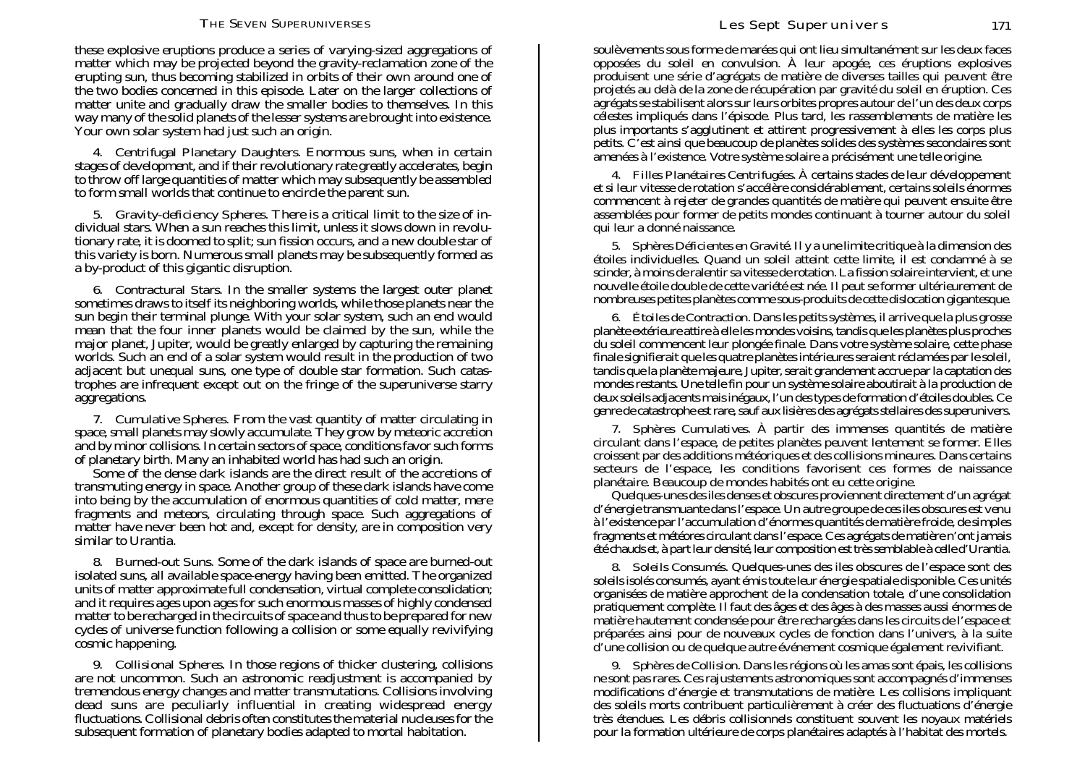these explosive eruptions produce a series of varying-sized aggregations of matter which may be projected beyond the gravity-reclamation zone of the erupting sun, thus becoming stabilized in orbits of their own around one of the two bodies concerned in this episode. Later on the larger collections of matter unite and gradually draw the smaller bodies to themselves. In this way many of the solid planets of the lesser systems are brought into existence. Your own solar system had just such an origin.

4. *Centrifugal Planetary Daughters.* Enormous suns, when in certain stages of development, and if their revolutionary rate greatly accelerates, begin to throw off large quantities of matter which may subsequently be assembled to form small worlds that continue to encircle the parent sun.

5. *Gravity-deficiency Spheres.* There is a critical limit to the size of individual stars. When a sun reaches this limit, unless it slows down in revolutionary rate, it is doomed to split; sun fission occurs, and a new double star of this variety is born. Numerous small planets may be subsequently formed as a by-product of this gigantic disruption.

6. *Contractural Stars.* In the smaller systems the largest outer planet sometimes draws to itself its neighboring worlds, while those planets near the sun begin their terminal plunge. With your solar system, such an end would mean that the four inner planets would be claimed by the sun, while the major planet, Jupiter, would be greatly enlarged by capturing the remaining worlds. Such an end of a solar system would result in the production of two adjacent but unequal suns, one type of double star formation. Such catastrophes are infrequent except out on the fringe of the superuniverse starry aggregations.

7. *Cumulative Spheres.* From the vast quantity of matter circulating in space, small planets may slowly accumulate. They grow by meteoric accretion and by minor collisions. In certain sectors of space, conditions favor such forms of planetary birth. Many an inhabited world has had such an origin.

Some of the dense dark islands are the direct result of the accretions of transmuting energy in space. Another group of these dark islands have come into being by the accumulation of enormous quantities of cold matter, mere fragments and meteors, circulating through space. Such aggregations of matter have never been hot and, except for density, are in composition very similar to Urantia.

8. *Burned-out Suns.* Some of the dark islands of space are burned-out isolated suns, all available space-energy having been emitted. The organized units of matter approximate full condensation, virtual complete consolidation; and it requires ages upon ages for such enormous masses of highly condensed matter to be recharged in the circuits of space and thus to be prepared for new cycles of universe function following a collision or some equally revivifying cosmic happening.

9. *Collisional Spheres.* In those regions of thicker clustering, collisions are not uncommon. Such an astronomic readjustment is accompanied by tremendous energy changes and matter transmutations. Collisions involving dead suns are peculiarly influential in creating widespread energy fluctuations. Collisional debris often constitutes the material nucleuses for the subsequent formation of planetary bodies adapted to mortal habitation.

soulèvements sous forme de marées qui ont lieu simultanément sur les deux faces opposées du soleil en convulsion. À leur apogée, ces éruptions explosives produisent une série d'agrégats de matière de diverses tailles qui peuvent être projetés au delà de la zone de récupération par gravité du soleil en éruption. Ces agrégats se stabilisent alors sur leurs orbites propres autour de l'un des deux corps célestes impliqués dans l'épisode. Plus tard, les rassemblements de matière les plus importants s'agglutinent et attirent progressivement à elles les corps plus petits. C'est ainsi que beaucoup de planètes solides des systèmes secondaires sont amenées à l'existence. Votre système solaire a précisément une telle origine.

<sup>4</sup>. *Filles Planétaires Centrifugées*. À certains stades de leur développement et si leur vitesse de rotation s'accélère considérablement, certains soleils énormes commencent à rejeter de grandes quantités de matière qui peuvent ensuite être assemblées pour former de petits mondes continuant à tourner autour du soleil qui leur a donné naissance.

5*. Sphères Déficientes en Gravit*é. Il y a une limite critique à la dimension des étoiles individuelles. Quand un soleil atteint cette limite, il est condamné à se scinder, à moins de ralentir sa vitesse de rotation. La fission solaire intervient, et une nouvelle étoile double de cette variété est née. Il peut se former ultérieurement de nombreuses petites planètes comme sous-produits de cette dislocation gigantesque.

<sup>6</sup>. *Étoiles de Contraction*. Dans les petits systèmes, il arrive que la plus grosse planète extérieure attire à elle les mondes voisins, tandis que les planètes plus proches du soleil commencent leur plongée finale. Dans votre système solaire, cette phase finale signifierait que les quatre planètes intérieures seraient réclamées par le soleil, tandis que la planète majeure, Jupiter, serait grandement accrue par la captation des mondes restants. Une telle fin pour un système solaire aboutirait à la production de deux soleils adjacents mais inégaux, l'un des types de formation d'étoiles doubles. Ce genre de catastrophe est rare, sauf aux lisières des agrégats stellaires des superunivers.

<sup>7</sup>. *Sphères Cumulatives*. À partir des immenses quantités de matière circulant dans l'espace, de petites planètes peuvent lentement se former. Elles croissent par des additions météoriques et des collisions mineures. Dans certains secteurs de l'espace, les conditions favorisent ces formes de naissance planétaire. Beaucoup de mondes habités ont eu cette origine.

Quelques-unes des iles denses et obscures proviennent directement d'un agrégat d'énergie transmuante dans l'espace. Un autre groupe de ces iles obscures est venu à l'existence par l'accumulation d'énormes quantités de matière froide, de simples fragments et météores circulant dans l'espace. Ces agrégats de matière n'ont jamais été chauds et, à part leur densité, leur composition est très semblable à celle d'Urantia.

8. *Soleils Consumés*. Quelques-unes des iles obscures de l'espace sont des soleils isolés consumés, ayant émis toute leur énergie spatiale disponible. Ces unités organisées de matière approchent de la condensation totale, d'une consolidation pratiquement complète. Il faut des âges et des âges à des masses aussi énormes de matière hautement condensée pour être rechargées dans les circuits de l'espace et préparées ainsi pour de nouveaux cycles de fonction dans l'univers, à la suite d'une collision ou de quelque autre événement cosmique également revivifiant.

9. *Sphères de Collision*. Dans les régions où les amas sont épais, les collisions ne sont pas rares. Ces rajustements astronomiques sont accompagnés d'immenses modifications d'énergie et transmutations de matière. Les collisions impliquant des soleils morts contribuent particulièrement à créer des fluctuations d'énergie très étendues. Les débris collisionnels constituent souvent les noyaux matériels pour la formation ultérieure de corps planétaires adaptés à l'habitat des mortels.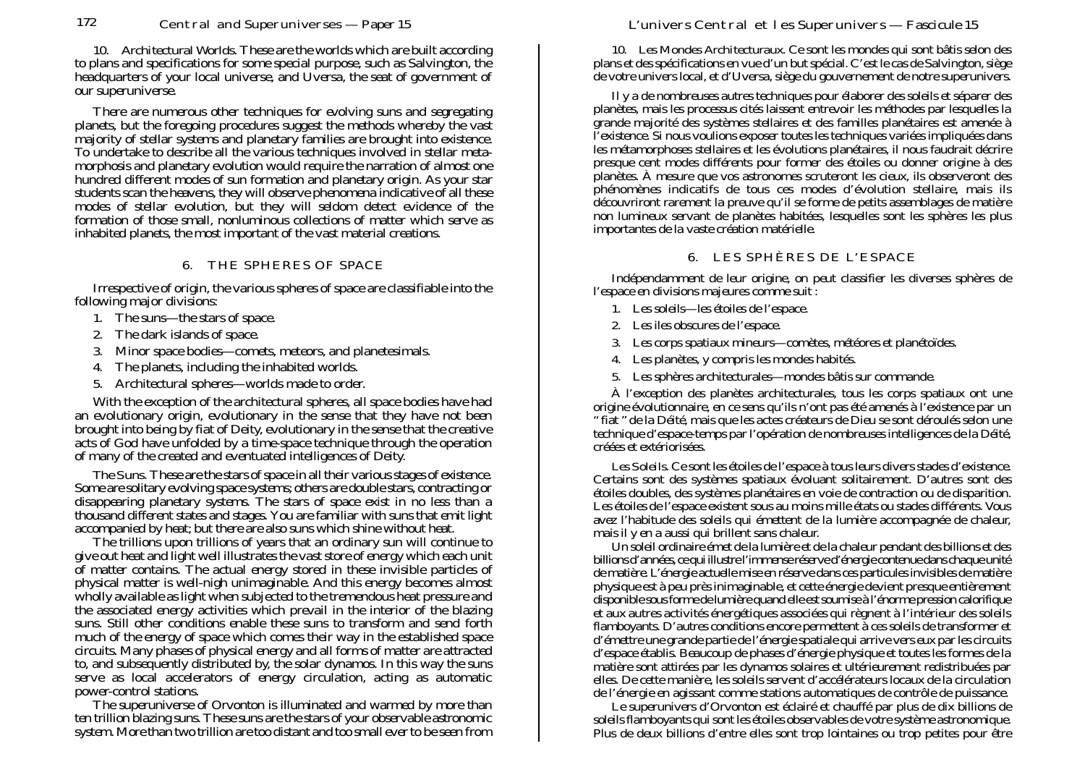10. *Architectural Worlds.* These are the worlds which are built according to plans and specifications for some special purpose, such as Salvington, the headquarters of your local universe, and Uversa, the seat of government of our superuniverse.

There are numerous other techniques for evolving suns and segregating planets, but the foregoing procedures suggest the methods whereby the vast majority of stellar systems and planetary families are brought into existence. To undertake to describe all the various techniques involved in stellar metamorphosis and planetary evolution would require the narration of almost one hundred different modes of sun formation and planetary origin. As your star students scan the heavens, they will observe phenomena indicative of all these modes of stellar evolution, but they will seldom detect evidence of the formation of those small, nonluminous collections of matter which serve as inhabited planets, the most important of the vast material creations.

## 6. THE SPHERES OF SPACE

Irrespective of origin, the various spheres of space are classifiable into the following major divisions:

- 1. The suns—the stars of space.
- 2. The dark islands of space.
- 3. Minor space bodies—comets, meteors, and planetesimals.
- 4. The planets, including the inhabited worlds.
- 5. Architectural spheres—worlds made to order.

With the exception of the architectural spheres, all space bodies have had an evolutionary origin, evolutionary in the sense that they have not been brought into being by fiat of Deity, evolutionary in the sense that the creative acts of God have unfolded by a time-space technique through the operation of many of the created and eventuated intelligences of Deity.

*The Suns.* These are the stars of space in all their various stages of existence. Some are solitary evolving space systems; others are double stars, contracting or disappearing planetary systems. The stars of space exist in no less than a thousand different states and stages. You are familiar with suns that emit light accompanied by heat; but there are also suns which shine without heat.

The trillions upon trillions of years that an ordinary sun will continue to give out heat and light well illustrates the vast store of energy which each unit of matter contains. The actual energy stored in these invisible particles of physical matter is well-nigh unimaginable. And this energy becomes almost wholly available as light when subjected to the tremendous heat pressure and the associated energy activities which prevail in the interior of the blazing suns. Still other conditions enable these suns to transform and send forth much of the energy of space which comes their way in the established space circuits. Many phases of physical energy and all forms of matter are attracted to, and subsequently distributed by, the solar dynamos. In this way the suns serve as local accelerators of energy circulation, acting as automatic power-control stations.

The superuniverse of Orvonton is illuminated and warmed by more than ten trillion blazing suns. These suns are the stars of your observable astronomic system. More than two trillion are too distant and too small ever to be seen from

# <sup>172</sup> Central and Superuniverses — *Paper <sup>15</sup>* L'univers Central et les Superunivers — *Fascicule <sup>15</sup>*

10. *Les Mondes Architecturaux*. Ce sont les mondes qui sont bâtis selon des plans et des spécifications en vue d'un but spécial. C'est le cas de Salvington, siège de votre univers local, et d'Uversa, siège du gouvernement de notre superunivers.

Il y a de nombreuses autres techniques pour élaborer des soleils et séparer des planètes, mais les processus cités laissent entrevoir les méthodes par lesquelles la grande majorité des systèmes stellaires et des familles planétaires est amenée à l'existence. Si nous voulions exposer toutes les techniques variées impliquées dans les métamorphoses stellaires et les évolutions planétaires, il nous faudrait décrire presque cent modes différents pour former des étoiles ou donner origine à des planètes. À mesure que vos astronomes scruteront les cieux, ils observeront des phénomènes indicatifs de tous ces modes d'évolution stellaire, mais ils découvriront rarement la preuve qu'il se forme de petits assemblages de matière non lumineux servant de planètes habitées, lesquelles sont les sphères les plus importantes de la vaste création matérielle.

# 6. LES SPHÈRES DE L'ESPACE

Indépendamment de leur origine, on peut classifier les diverses sphères de l'espace en divisions majeures comme suit :

- 1. Les soleils—les étoiles de l'espace.
- 2. Les iles obscures de l'espace.
- 3. Les corps spatiaux mineurs—comètes, météores et planétoïdes.
- 4. Les planètes, y compris les mondes habités.
- 5. Les sphères architecturales—mondes bâtis sur commande.

À l'exception des planètes architecturales, tous les corps spatiaux ont une origine évolutionnaire, en ce sens qu'ils n'ont pas été amenés à l'existence par un " fiat " de la Déité, mais que les actes créateurs de Dieu se sont déroulés selon une technique d'espace-temps par l'opération de nombreuses intelligences de la Déité, créées et extériorisées.

*Les Soleils*. Ce sont les étoiles de l'espace à tous leurs divers stades d'existence. Certains sont des systèmes spatiaux évoluant solitairement. D'autres sont des étoiles doubles, des systèmes planétaires en voie de contraction ou de disparition. Les étoiles de l'espace existent sous au moins mille états ou stades différents. Vous avez l'habitude des soleils qui émettent de la lumière accompagnée de chaleur, mais il y en a aussi qui brillent sans chaleur.

Un soleil ordinaire émet de la lumière et de la chaleur pendant des billions et des billions d'années, ce qui illustre l'immense réserve d'énergie contenue dans chaque unité de matière. L'énergie actuelle mise en réserve dans ces particules invisibles de matière physique est à peu près inimaginable, et cette énergie devient presque entièrement disponible sous forme de lumière quand elle est soumise à l'énorme pression calorifique et aux autres activités énergétiques associées qui règnent à l'intérieur des soleils flamboyants. D'autres conditions encore permettent à ces soleils de transformer et d'émettre une grande partie de l'énergie spatiale qui arrive vers eux par les circuits d'espace établis. Beaucoup de phases d'énergie physique et toutes les formes de la matière sont attirées par les dynamos solaires et ultérieurement redistribuées par elles. De cette manière, les soleils servent d'accélérateurs locaux de la circulation de l'énergie en agissant comme stations automatiques de contrôle de puissance.

Le superunivers d'Orvonton est éclairé et chauffé par plus de dix billions de soleils flamboyants qui sont les étoiles observables de votre système astronomique. Plus de deux billions d'entre elles sont trop lointaines ou trop petites pour être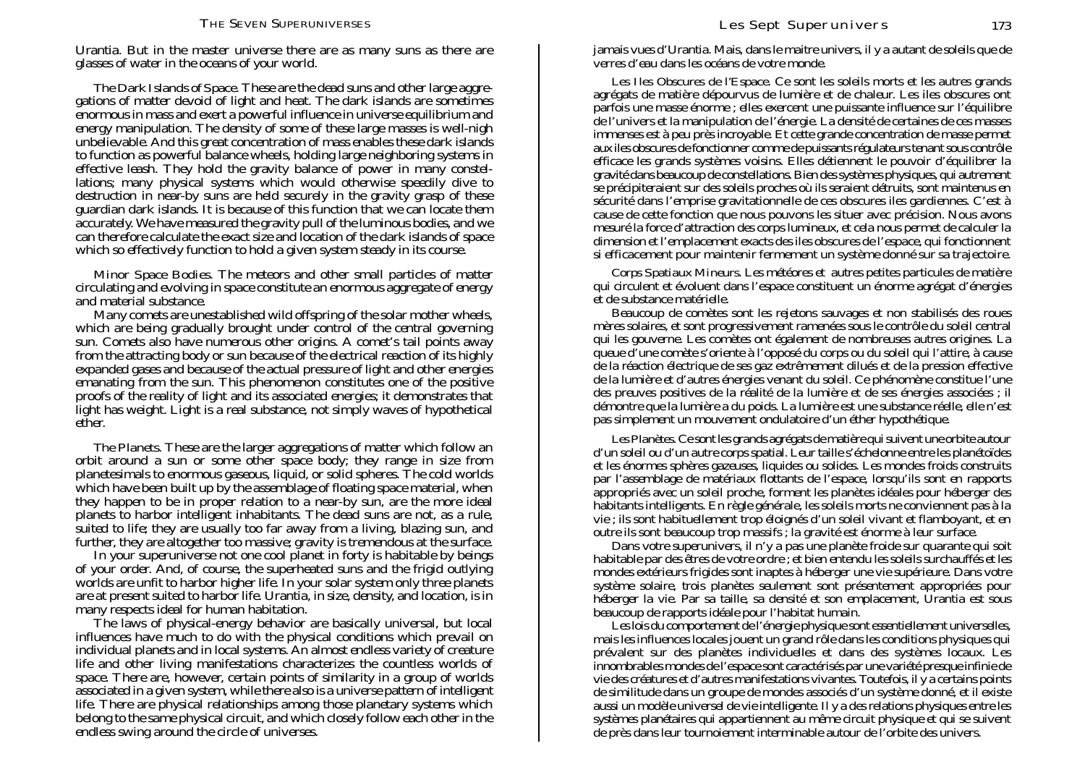Urantia. But in the master universe there are as many suns as there are glasses of water in the oceans of your world.

*The Dark Islands of Space.* These are the dead suns and other large aggregations of matter devoid of light and heat. The dark islands are sometimes enormous in mass and exert a powerful influence in universe equilibrium and energy manipulation. The density of some of these large masses is well-nigh unbelievable. And this great concentration of mass enables these dark islands to function as powerful balance wheels, holding large neighboring systems in effective leash. They hold the gravity balance of power in many constellations; many physical systems which would otherwise speedily dive to destruction in near-by suns are held securely in the gravity grasp of these guardian dark islands. It is because of this function that we can locate them accurately. We have measured the gravity pull of the luminous bodies, and we can therefore calculate the exact size and location of the dark islands of space which so effectively function to hold a given system steady in its course.

*Minor Space Bodies.* The meteors and other small particles of matter circulating and evolving in space constitute an enormous aggregate of energy and material substance.

Many comets are unestablished wild offspring of the solar mother wheels, which are being gradually brought under control of the central governing sun. Comets also have numerous other origins. A comet's tail points away from the attracting body or sun because of the electrical reaction of its highly expanded gases and because of the actual pressure of light and other energies emanating from the sun. This phenomenon constitutes one of the positive proofs of the reality of light and its associated energies; it demonstrates that light has weight. Light is a real substance, not simply waves of hypothetical ether.

*The Planets.* These are the larger aggregations of matter which follow an orbit around a sun or some other space body; they range in size from planetesimals to enormous gaseous, liquid, or solid spheres. The cold worlds which have been built up by the assemblage of floating space material, when they happen to be in proper relation to a near-by sun, are the more ideal planets to harbor intelligent inhabitants. The dead suns are not, as a rule, suited to life; they are usually too far away from a living, blazing sun, and further, they are altogether too massive; gravity is tremendous at the surface.

In your superuniverse not one cool planet in forty is habitable by beings of your order. And, of course, the superheated suns and the frigid outlying worlds are unfit to harbor higher life. In your solar system only three planets are at present suited to harbor life. Urantia, in size, density, and location, is in many respects ideal for human habitation.

The laws of physical-energy behavior are basically universal, but local influences have much to do with the physical conditions which prevail on individual planets and in local systems. An almost endless variety of creature life and other living manifestations characterizes the countless worlds of space. There are, however, certain points of similarity in a group of worlds associated in a given system, while there also is a universe pattern of intelligent life. There are physical relationships among those planetary systems which belong to the same physical circuit, and which closely follow each other in the endless swing around the circle of universes.

jamais vues d'Urantia. Mais, dans le maitre univers, il y a autant de soleils que de verres d'eau dans les océans de votre monde.

*Les Iles Obscures de l'Espace.* Ce sont les soleils morts et les autres grands agrégats de matière dépourvus de lumière et de chaleur. Les iles obscures ont parfois une masse énorme ; elles exercent une puissante influence sur l'équilibre de l'univers et la manipulation de l'énergie. La densité de certaines de ces masses immenses est à peu près incroyable. Et cette grande concentration de masse permet aux iles obscures de fonctionner comme de puissants régulateurs tenant sous contrôle efficace les grands systèmes voisins. Elles détiennent le pouvoir d'équilibrer la gravité dans beaucoup de constellations. Bien des systèmes physiques, qui autrement se précipiteraient sur des soleils proches où ils seraient détruits, sont maintenus en sécurité dans l'emprise gravitationnelle de ces obscures iles gardiennes. C'est à cause de cette fonction que nous pouvons les situer avec précision. Nous avons mesuré la force d'attraction des corps lumineux, et cela nous permet de calculer la dimension et l'emplacement exacts des iles obscures de l'espace, qui fonctionnent si efficacement pour maintenir fermement un système donné sur sa trajectoire.

*Corps Spatiaux Mineurs*. Les météores et autres petites particules de matière qui circulent et évoluent dans l'espace constituent un énorme agrégat d'énergies et de substance matérielle.

Beaucoup de comètes sont les rejetons sauvages et non stabilisés des roues mères solaires, et sont progressivement ramenées sous le contrôle du soleil central qui les gouverne. Les comètes ont également de nombreuses autres origines. La queue d'une comète s'oriente à l'opposé du corps ou du soleil qui l'attire, à cause de la réaction électrique de ses gaz extrêmement dilués et de la pression effective de la lumière et d'autres énergies venant du soleil. Ce phénomène constitue l'une des preuves positives de la réalité de la lumière et de ses énergies associées ; il démontre que la lumière a du poids. La lumière est une substance réelle, elle n'est pas simplement un mouvement ondulatoire d'un éther hypothétique.

*Les Planètes.*Ce sont les grands agrégats de matière qui suivent une orbite autour d'un soleil ou d'un autre corps spatial. Leur taille s'échelonne entre les planétoïdes et les énormes sphères gazeuses, liquides ou solides. Les mondes froids construits par l'assemblage de matériaux flottants de l'espace, lorsqu'ils sont en rapports appropriés avec un soleil proche, forment les planètes idéales pour héberger des habitants intelligents. En règle générale, les soleils morts ne conviennent pas à la vie ; ils sont habituellement trop éloignés d'un soleil vivant et flamboyant, et en outre ils sont beaucoup trop massifs ; la gravité est énorme à leur surface.

Dans votre superunivers, il n'y a pas une planète froide sur quarante qui soit habitable par des êtres de votre ordre ; et bien entendu les soleils surchauffés et les mondes extérieurs frigides sont inaptes à héberger une vie supérieure. Dans votre système solaire, trois planètes seulement sont présentement appropriées pour héberger la vie. Par sa taille, sa densité et son emplacement, Urantia est sous beaucoup de rapports idéale pour l'habitat humain.

Les lois du comportement de l'énergie physique sont essentiellement universelles, mais les influences locales jouent un grand rôle dans les conditions physiques qui prévalent sur des planètes individuelles et dans des systèmes locaux. Les innombrables mondes de l'espace sont caractérisés par une variété presque infinie de vie des créatures et d'autres manifestations vivantes. Toutefois, il y a certains points de similitude dans un groupe de mondes associés d'un système donné, et il existe aussi un modèle universel de vie intelligente. Il y a des relations physiques entre les systèmes planétaires qui appartiennent au même circuit physique et qui se suivent de près dans leur tournoiement interminable autour de l'orbite des univers.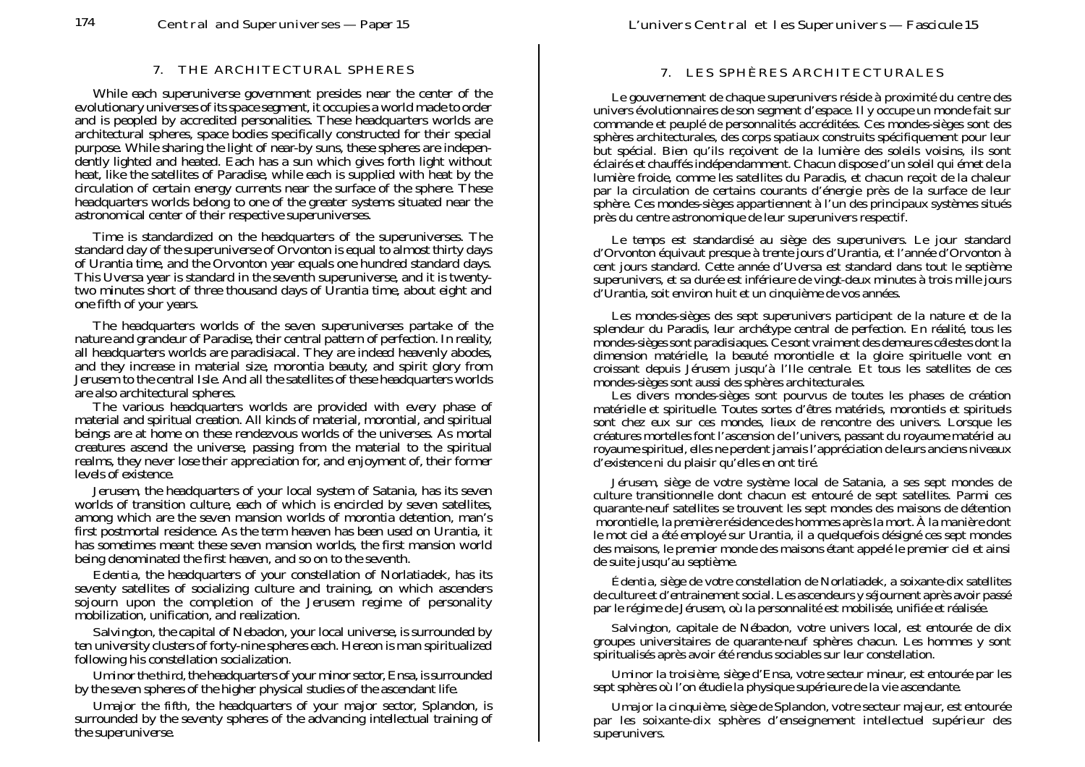## 7. THE ARCHITECTURAL SPHERES

While each superuniverse government presides near the center of the evolutionary universes of its space segment, it occupies a world made to order and is peopled by accredited personalities. These headquarters worlds are architectural spheres, space bodies specifically constructed for their special purpose. While sharing the light of near-by suns, these spheres are independently lighted and heated. Each has a sun which gives forth light without heat, like the satellites of Paradise, while each is supplied with heat by the circulation of certain energy currents near the surface of the sphere. These headquarters worlds belong to one of the greater systems situated near the astronomical center of their respective superuniverses.

Time is standardized on the headquarters of the superuniverses. The standard day of the superuniverse of Orvonton is equal to almost thirty days of Urantia time, and the Orvonton year equals one hundred standard days. This Uversa year is standard in the seventh superuniverse, and it is twentytwo minutes short of three thousand days of Urantia time, about eight and one fifth of your years.

The headquarters worlds of the seven superuniverses partake of the nature and grandeur of Paradise, their central pattern of perfection. In reality, all headquarters worlds are paradisiacal. They are indeed heavenly abodes, and they increase in material size, morontia beauty, and spirit glory from Jerusem to the central Isle. And all the satellites of these headquarters worlds are also architectural spheres.

The various headquarters worlds are provided with every phase of material and spiritual creation. All kinds of material, morontial, and spiritual beings are at home on these rendezvous worlds of the universes. As mortal creatures ascend the universe, passing from the material to the spiritual realms, they never lose their appreciation for, and enjoyment of, their former levels of existence.

*Jerusem,* the headquarters of your local system of Satania, has its seven worlds of transition culture, each of which is encircled by seven satellites, among which are the seven mansion worlds of morontia detention, man's first postmortal residence. As the term heaven has been used on Urantia, it has sometimes meant these seven mansion worlds, the first mansion world being denominated the first heaven, and so on to the seventh.

*Edentia,* the headquarters of your constellation of Norlatiadek, has its seventy satellites of socializing culture and training, on which ascenders sojourn upon the completion of the Jerusem regime of personality mobilization, unification, and realization.

*Salvington,* the capital of Nebadon, your local universe, is surrounded by ten university clusters of forty-nine spheres each. Hereon is man spiritualized following his constellation socialization.

*Uminor the third,*the headquarters of your minor sector, Ensa, is surrounded by the seven spheres of the higher physical studies of the ascendant life.

*Umajor the fifth,* the headquarters of your major sector, Splandon, is surrounded by the seventy spheres of the advancing intellectual training of the superuniverse.

## 7. LES SPHÈRES ARCHITECTURALES

Le gouvernement de chaque superunivers réside à proximité du centre des univers évolutionnaires de son segment d'espace. Il y occupe un monde fait sur commande et peuplé de personnalités accréditées. Ces mondes-sièges sont des sphères architecturales, des corps spatiaux construits spécifiquement pour leur but spécial. Bien qu'ils reçoivent de la lumière des soleils voisins, ils sont éclairés et chauffés indépendamment. Chacun dispose d'un soleil qui émet de la lumière froide, comme les satellites du Paradis, et chacun reçoit de la chaleur par la circulation de certains courants d'énergie près de la surface de leur sphère. Ces mondes-sièges appartiennent à l'un des principaux systèmes situés près du centre astronomique de leur superunivers respectif.

Le temps est standardisé au siège des superunivers. Le jour standard d'Orvonton équivaut presque à trente jours d'Urantia, et l'année d'Orvonton à cent jours standard. Cette année d'Uversa est standard dans tout le septième superunivers, et sa durée est inférieure de vingt-deux minutes à trois mille jours d'Urantia, soit environ huit et un cinquième de vos années.

Les mondes-sièges des sept superunivers participent de la nature et de la splendeur du Paradis, leur archétype central de perfection. En réalité, tous les mondes-sièges sont paradisiaques. Ce sont vraiment des demeures célestes dont la dimension matérielle, la beauté morontielle et la gloire spirituelle vont en croissant depuis Jérusem jusqu'à l'Ile centrale. Et tous les satellites de ces mondes-sièges sont aussi des sphères architecturales.

Les divers mondes-sièges sont pourvus de toutes les phases de création matérielle et spirituelle. Toutes sortes d'êtres matériels, morontiels et spirituels sont chez eux sur ces mondes, lieux de rencontre des univers. Lorsque les créatures mortelles font l'ascension de l'univers, passant du royaume matériel au royaume spirituel, elles ne perdent jamais l'appréciation de leurs anciens niveaux d'existence ni du plaisir qu'elles en ont tiré.

*Jérusem,* siège de votre système local de Satania, a ses sept mondes de culture transitionnelle dont chacun est entouré de sept satellites. Parmi ces quarante-neuf satellites se trouvent les sept mondes des maisons de détention morontielle, la première résidence des hommes après la mort. À la manière dont le mot ciel a été employé sur Urantia, il a quelquefois désigné ces sept mondes des maisons, le premier monde des maisons étant appelé le premier ciel et ainsi de suite jusqu'au septième.

*Édentia,* siège de votre constellation de Norlatiadek, a soixante-dix satellites de culture et d'entrainement social. Les ascendeurs y séjournent après avoir passé par le régime de Jérusem, où la personnalité est mobilisée, unifiée et réalisée.

*Salvington,* capitale de Nébadon, votre univers local, est entourée de dix groupes universitaires de quarante-neuf sphères chacun. Les hommes y sont spiritualisés après avoir été rendus sociables sur leur constellation.

*Uminor la troisième,* siège d'Ensa, votre secteur mineur, est entourée par les sept sphères où l'on étudie la physique supérieure de la vie ascendante.

*Umajor la cinquième,* siège de Splandon, votre secteur majeur, est entourée par les soixante-dix sphères d'enseignement intellectuel supérieur des superunivers.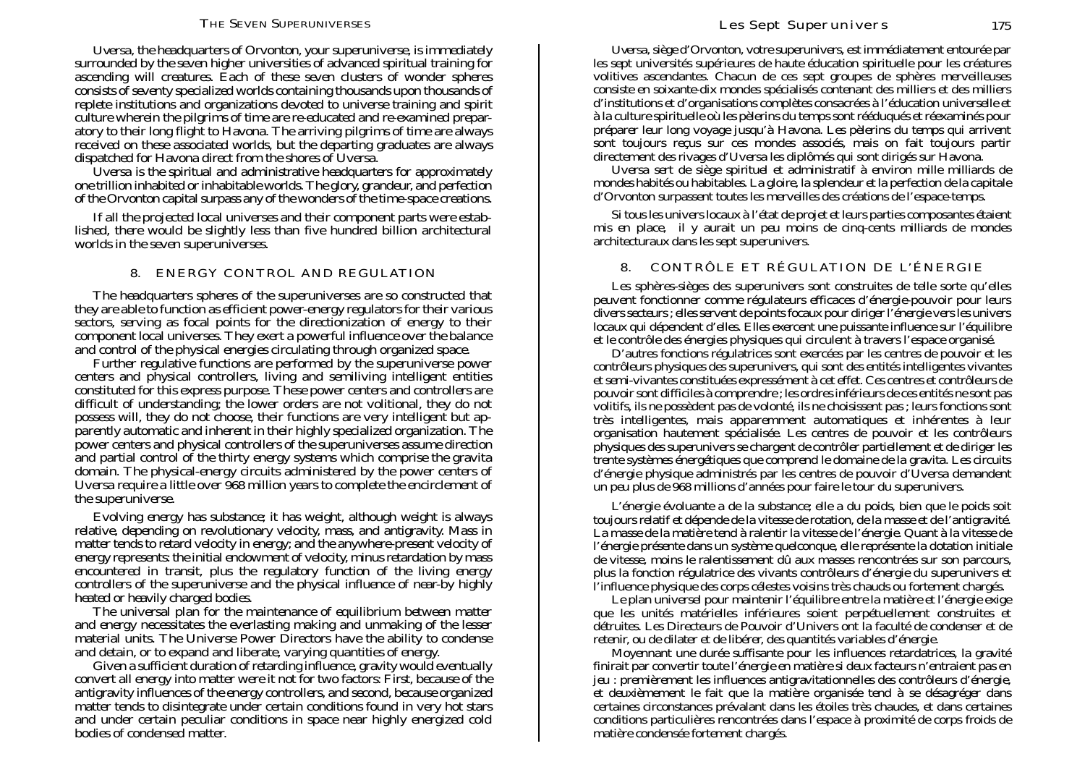*Uversa,* the headquarters of Orvonton, your superuniverse, is immediately surrounded by the seven higher universities of advanced spiritual training for ascending will creatures. Each of these seven clusters of wonder spheres consists of seventy specialized worlds containing thousands upon thousands of replete institutions and organizations devoted to universe training and spirit culture wherein the pilgrims of time are re-educated and re-examined preparatory to their long flight to Havona. The arriving pilgrims of time are always received on these associated worlds, but the departing graduates are always dispatched for Havona direct from the shores of Uversa.

Uversa is the spiritual and administrative headquarters for approximately one trillion inhabited or inhabitable worlds. The glory, grandeur, and perfection of the Orvonton capital surpass any of the wonders of the time-space creations.

If all the projected local universes and their component parts were established, there would be slightly less than five hundred billion architectural worlds in the seven superuniverses.

#### 8. ENERGY CONTROL AND REGULATION

The headquarters spheres of the superuniverses are so constructed that they are able to function as efficient power-energy regulators for their various sectors, serving as focal points for the directionization of energy to their component local universes. They exert a powerful influence over the balance and control of the physical energies circulating through organized space.

Further regulative functions are performed by the superuniverse power centers and physical controllers, living and semiliving intelligent entities constituted for this express purpose. These power centers and controllers are difficult of understanding; the lower orders are not volitional, they do not possess will, they do not choose, their functions are very intelligent but apparently automatic and inherent in their highly specialized organization. The power centers and physical controllers of the superuniverses assume direction and partial control of the thirty energy systems which comprise the gravita domain. The physical-energy circuits administered by the power centers of Uversa require a little over 968 million years to complete the encirclement of the superuniverse.

Evolving energy has substance; it has weight, although weight is always relative, depending on revolutionary velocity, mass, and antigravity. Mass in matter tends to retard velocity in energy; and the anywhere-present velocity of energy represents: the initial endowment of velocity, minus retardation by mass encountered in transit, plus the regulatory function of the living energy controllers of the superuniverse and the physical influence of near-by highly heated or heavily charged bodies.

The universal plan for the maintenance of equilibrium between matter and energy necessitates the everlasting making and unmaking of the lesser material units. The Universe Power Directors have the ability to condense and detain, or to expand and liberate, varying quantities of energy.

Given a sufficient duration of retarding influence, gravity would eventually convert all energy into matter were it not for two factors: First, because of the antigravity influences of the energy controllers, and second, because organized matter tends to disintegrate under certain conditions found in very hot stars and under certain peculiar conditions in space near highly energized cold bodies of condensed matter.

*Uversa,* siège d'Orvonton, votre superunivers, est immédiatement entourée par les sept universités supérieures de haute éducation spirituelle pour les créatures volitives ascendantes. Chacun de ces sept groupes de sphères merveilleuses consiste en soixante-dix mondes spécialisés contenant des milliers et des milliers d'institutions et d'organisations complètes consacrées à l'éducation universelle et à la culture spirituelle où les pèlerins du temps sont rééduqués et réexaminés pour préparer leur long voyage jusqu'à Havona. Les pèlerins du temps qui arrivent sont toujours reçus sur ces mondes associés, mais on fait toujours partir directement des rivages d'Uversa les diplômés qui sont dirigés sur Havona.

Uversa sert de siège spirituel et administratif à environ mille milliards de mondes habités ou habitables. La gloire, la splendeur et la perfection de la capitale d'Orvonton surpassent toutes les merveilles des créations de l'espace-temps.

Si tous les univers locaux à l'état de projet et leurs parties composantes étaient mis en place, il y aurait un peu moins de cinq-cents milliards de mondes architecturaux dans les sept superunivers.

#### 8. CONTRÔLE ET RÉGULATION DE L'ÉNERGIE

Les sphères-sièges des superunivers sont construites de telle sorte qu'elles peuvent fonctionner comme régulateurs efficaces d'énergie-pouvoir pour leurs divers secteurs ; elles servent de points focaux pour diriger l'énergie vers les univers locaux qui dépendent d'elles. Elles exercent une puissante influence sur l'équilibre et le contrôle des énergies physiques qui circulent à travers l'espace organisé.

D'autres fonctions régulatrices sont exercées par les centres de pouvoir et les contrôleurs physiques des superunivers, qui sont des entités intelligentes vivantes et semi-vivantes constituées expressément à cet effet. Ces centres et contrôleurs de pouvoir sont difficiles à comprendre ; les ordres inférieurs de ces entités ne sont pas volitifs, ils ne possèdent pas de volonté, ils ne choisissent pas ; leurs fonctions sont très intelligentes, mais apparemment automatiques et inhérentes à leur organisation hautement spécialisée. Les centres de pouvoir et les contrôleurs physiques des superunivers se chargent de contrôler partiellement et de diriger les trente systèmes énergétiques que comprend le domaine de la gravita. Les circuits d'énergie physique administrés par les centres de pouvoir d'Uversa demandent un peu plus de 968 millions d'années pour faire le tour du superunivers.

L'énergie évoluante a de la substance; elle a du poids, bien que le poids soit toujours relatif et dépende de la vitesse de rotation, de la masse et de l'antigravité. La masse de la matière tend à ralentir la vitesse de l'énergie. Quant à la vitesse de l'énergie présente dans un système quelconque, elle représente la dotation initiale de vitesse, moins le ralentissement dû aux masses rencontrées sur son parcours, plus la fonction régulatrice des vivants contrôleurs d'énergie du superunivers et l'influence physique des corps célestes voisins très chauds ou fortement chargés.

Le plan universel pour maintenir l'équilibre entre la matière et l'énergie exige que les unités matérielles inférieures soient perpétuellement construites et détruites. Les Directeurs de Pouvoir d'Univers ont la faculté de condenser et de retenir, ou de dilater et de libérer, des quantités variables d'énergie.

Moyennant une durée suffisante pour les influences retardatrices, la gravité finirait par convertir toute l'énergie en matière si deux facteurs n'entraient pas en jeu : premièrement les influences antigravitationnelles des contrôleurs d'énergie, et deuxièmement le fait que la matière organisée tend à se désagréger dans certaines circonstances prévalant dans les étoiles très chaudes, et dans certaines conditions particulières rencontrées dans l'espace à proximité de corps froids de matière condensée fortement chargés.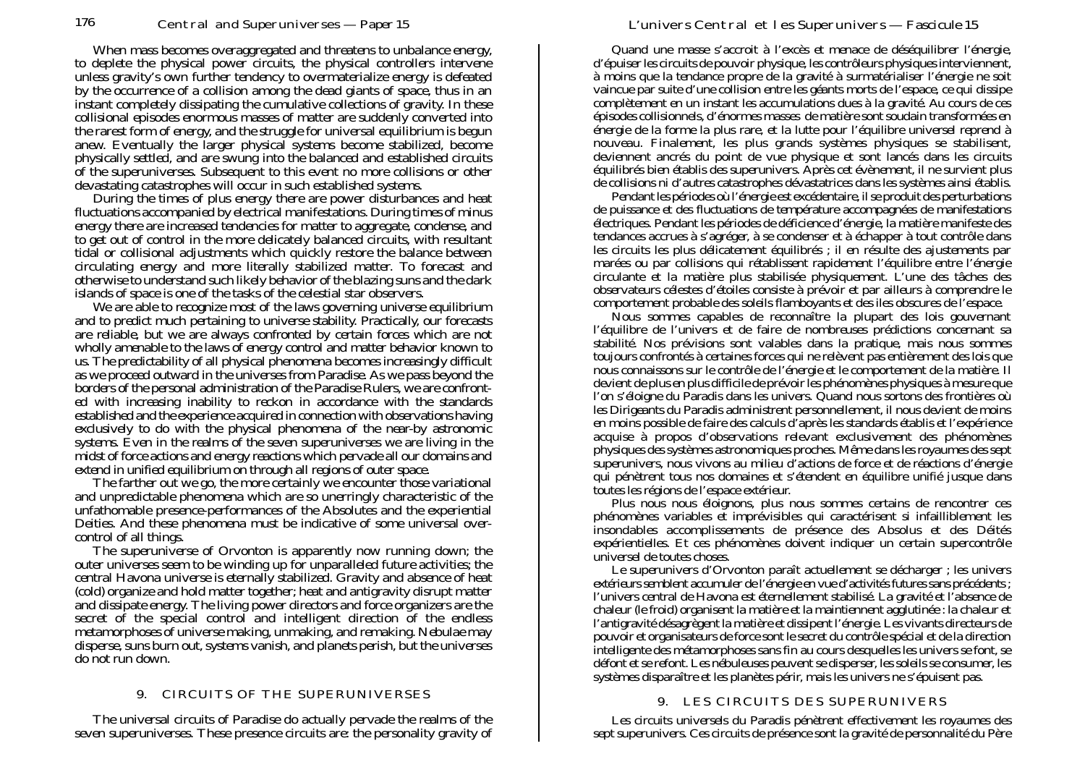When mass becomes overaggregated and threatens to unbalance energy, to deplete the physical power circuits, the physical controllers intervene unless gravity's own further tendency to overmaterialize energy is defeated by the occurrence of a collision among the dead giants of space, thus in an instant completely dissipating the cumulative collections of gravity. In these collisional episodes enormous masses of matter are suddenly converted into the rarest form of energy, and the struggle for universal equilibrium is begun anew. Eventually the larger physical systems become stabilized, become physically settled, and are swung into the balanced and established circuits of the superuniverses. Subsequent to this event no more collisions or other devastating catastrophes will occur in such established systems.

During the times of plus energy there are power disturbances and heat fluctuations accompanied by electrical manifestations. During times of minus energy there are increased tendencies for matter to aggregate, condense, and to get out of control in the more delicately balanced circuits, with resultant tidal or collisional adjustments which quickly restore the balance between circulating energy and more literally stabilized matter. To forecast and otherwise to understand such likely behavior of the blazing suns and the dark islands of space is one of the tasks of the celestial star observers.

We are able to recognize most of the laws governing universe equilibrium and to predict much pertaining to universe stability. Practically, our forecasts are reliable, but we are always confronted by certain forces which are not wholly amenable to the laws of energy control and matter behavior known to us. The predictability of all physical phenomena becomes increasingly difficult as we proceed outward in the universes from Paradise. As we pass beyond the borders of the personal administration of the Paradise Rulers, we are confronted with increasing inability to reckon in accordance with the standards established and the experience acquired in connection with observations having exclusively to do with the physical phenomena of the near-by astronomic systems. Even in the realms of the seven superuniverses we are living in the midst of force actions and energy reactions which pervade all our domains and extend in unified equilibrium on through all regions of outer space.

The farther out we go, the more certainly we encounter those variational and unpredictable phenomena which are so unerringly characteristic of the unfathomable presence-performances of the Absolutes and the experiential Deities. And these phenomena must be indicative of some universal overcontrol of all things.

The superuniverse of Orvonton is apparently now running down; the outer universes seem to be winding up for unparalleled future activities; the central Havona universe is eternally stabilized. Gravity and absence of heat (cold) organize and hold matter together; heat and antigravity disrupt matter and dissipate energy. The living power directors and force organizers are the secret of the special control and intelligent direction of the endless metamorphoses of universe making, unmaking, and remaking. Nebulae may disperse, suns burn out, systems vanish, and planets perish, but the universes do not run down.

## 9. CIRCUITS OF THE SUPERUNIVERSES

The universal circuits of Paradise do actually pervade the realms of the seven superuniverses. These presence circuits are: the personality gravity of

Quand une masse s'accroit à l'excès et menace de déséquilibrer l'énergie, d'épuiser les circuits de pouvoir physique, les contrôleurs physiques interviennent, à moins que la tendance propre de la gravité à surmatérialiser l'énergie ne soit vaincue par suite d'une collision entre les géants morts de l'espace, ce qui dissipe complètement en un instant les accumulations dues à la gravité. Au cours de ces épisodes collisionnels, d'énormes masses de matière sont soudain transformées en énergie de la forme la plus rare, et la lutte pour l'équilibre universel reprend à nouveau. Finalement, les plus grands systèmes physiques se stabilisent, deviennent ancrés du point de vue physique et sont lancés dans les circuits équilibrés bien établis des superunivers. Après cet évènement, il ne survient plus de collisions ni d'autres catastrophes dévastatrices dans les systèmes ainsi établis.

Pendant les périodes où l'énergie est excédentaire, il se produit des perturbations de puissance et des fluctuations de température accompagnées de manifestations électriques. Pendant les périodes de déficience d'énergie, la matière manifeste des tendances accrues à s'agréger, à se condenser et à échapper à tout contrôle dans les circuits les plus délicatement équilibrés ; il en résulte des ajustements par marées ou par collisions qui rétablissent rapidement l'équilibre entre l'énergie circulante et la matière plus stabilisée physiquement. L'une des tâches des observateurs célestes d'étoiles consiste à prévoir et par ailleurs à comprendre le comportement probable des soleils flamboyants et des iles obscures de l'espace.

Nous sommes capables de reconnaître la plupart des lois gouvernant l'équilibre de l'univers et de faire de nombreuses prédictions concernant sa stabilité. Nos prévisions sont valables dans la pratique, mais nous sommes toujours confrontés à certaines forces qui ne relèvent pas entièrement des lois que nous connaissons sur le contrôle de l'énergie et le comportement de la matière. Il devient de plus en plus difficile de prévoir les phénomènes physiques à mesure que l'on s'éloigne du Paradis dans les univers. Quand nous sortons des frontières où les Dirigeants du Paradis administrent personnellement, il nous devient de moins en moins possible de faire des calculs d'après les standards établis et l'expérience acquise à propos d'observations relevant exclusivement des phénomènes physiques des systèmes astronomiques proches. Même dans les royaumes des sept superunivers, nous vivons au milieu d'actions de force et de réactions d'énergie qui pénètrent tous nos domaines et s'étendent en équilibre unifié jusque dans toutes les régions de l'espace extérieur.

Plus nous nous éloignons, plus nous sommes certains de rencontrer ces phénomènes variables et imprévisibles qui caractérisent si infailliblement les insondables accomplissements de présence des Absolus et des Déités expérientielles. Et ces phénomènes doivent indiquer un certain supercontrôle universel de toutes choses.

Le superunivers d'Orvonton paraît actuellement se décharger ; les univers extérieurs semblent accumuler de l'énergie en vue d'activités futures sans précédents ; l'univers central de Havona est éternellement stabilisé. La gravité et l'absence de chaleur (le froid) organisent la matière et la maintiennent agglutinée : la chaleur et l'antigravité désagrègent la matière et dissipent l'énergie. Les vivants directeurs de pouvoir et organisateurs de force sont le secret du contrôle spécial et de la direction intelligente des métamorphoses sans fin au cours desquelles les univers se font, se défont et se refont. Les nébuleuses peuvent se disperser, les soleils se consumer, les systèmes disparaître et les planètes périr, mais les univers ne s'épuisent pas.

# 9. LES CIRCUITS DES SUPERUNIVERS

Les circuits universels du Paradis pénètrent effectivement les royaumes des sept superunivers. Ces circuits de présence sont la gravité de personnalité du Père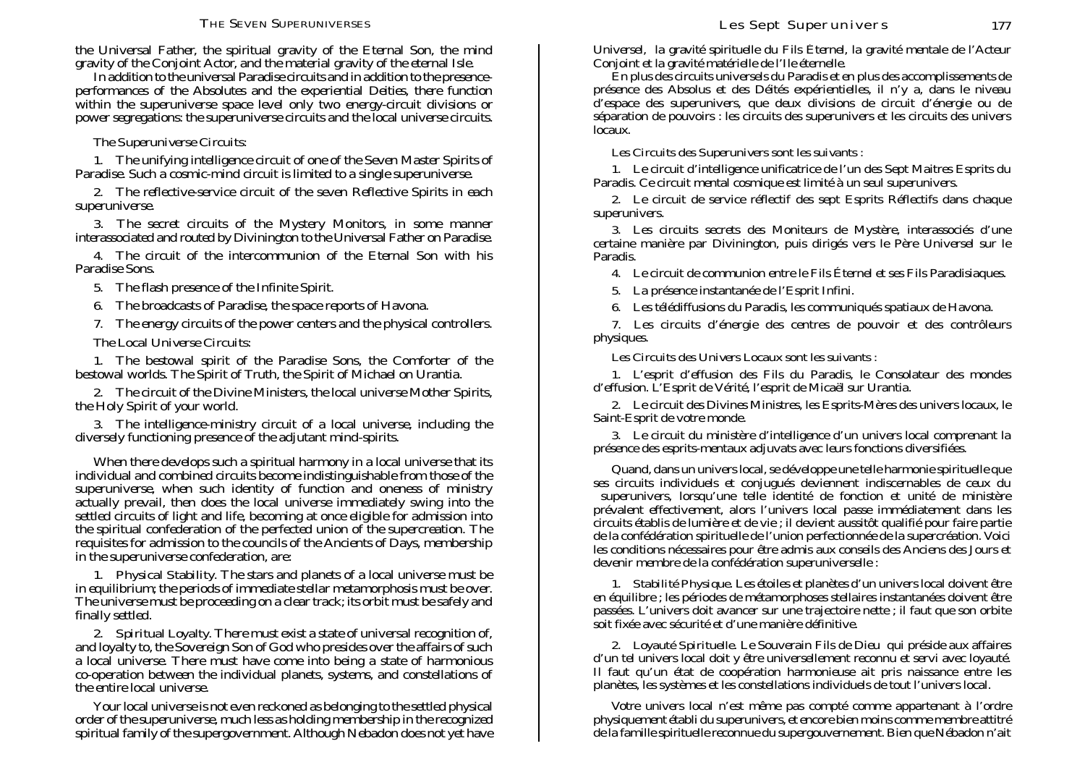the Universal Father, the spiritual gravity of the Eternal Son, the mind gravity of the Conjoint Actor, and the material gravity of the eternal Isle.

In addition to the universal Paradise circuits and in addition to the presenceperformances of the Absolutes and the experiential Deities, there function within the superuniverse space level only two energy-circuit divisions or power segregations: the superuniverse circuits and the local universe circuits.

*The Superuniverse Circuits:*

1. The unifying intelligence circuit of one of the Seven Master Spirits of Paradise. Such a cosmic-mind circuit is limited to a single superuniverse.

2. The reflective-service circuit of the seven Reflective Spirits in each superuniverse.

3. The secret circuits of the Mystery Monitors, in some manner interassociated and routed by Divinington to the Universal Father on Paradise.

4. The circuit of the intercommunion of the Eternal Son with his Paradise Sons.

5. The flash presence of the Infinite Spirit.

6. The broadcasts of Paradise, the space reports of Havona.

7. The energy circuits of the power centers and the physical controllers. *The Local Universe Circuits:*

1. The bestowal spirit of the Paradise Sons, the Comforter of the bestowal worlds. The Spirit of Truth, the Spirit of Michael on Urantia.

2. The circuit of the Divine Ministers, the local universe Mother Spirits, the Holy Spirit of your world.

3. The intelligence-ministry circuit of a local universe, including the diversely functioning presence of the adjutant mind-spirits.

When there develops such a spiritual harmony in a local universe that its individual and combined circuits become indistinguishable from those of the superuniverse, when such identity of function and oneness of ministry actually prevail, then does the local universe immediately swing into the settled circuits of light and life, becoming at once eligible for admission into the spiritual confederation of the perfected union of the supercreation. The requisites for admission to the councils of the Ancients of Days, membership in the superuniverse confederation, are:

1. *Physical Stability.* The stars and planets of a local universe must be in equilibrium; the periods of immediate stellar metamorphosis must be over. The universe must be proceeding on a clear track; its orbit must be safely and finally settled.

2. *Spiritual Loyalty.* There must exist a state of universal recognition of, and loyalty to, the Sovereign Son of God who presides over the affairs of such a local universe. There must have come into being a state of harmonious co-operation between the individual planets, systems, and constellations of the entire local universe.

Your local universe is not even reckoned as belonging to the settled physical order of the superuniverse, much less as holding membership in the recognized spiritual family of the supergovernment. Although Nebadon does not yet have

Universel, la gravité spirituelle du Fils Éternel, la gravité mentale de l'Acteur Conjoint et la gravité matérielle de l'Ile éternelle.

En plus des circuits universels du Paradis et en plus des accomplissements de présence des Absolus et des Déités expérientielles, il n'y a, dans le niveau d'espace des superunivers, que deux divisions de circuit d'énergie ou de séparation de pouvoirs : les circuits des superunivers et les circuits des univers locaux.

*Les Circuits des Superunivers sont les suivants :*

1. Le circuit d'intelligence unificatrice de l'un des Sept Maitres Esprits du Paradis. Ce circuit mental cosmique est limité à un seul superunivers.

2. Le circuit de service réflectif des sept Esprits Réflectifs dans chaque superunivers.

3. Les circuits secrets des Moniteurs de Mystère, interassociés d'une certaine manière par Divinington, puis dirigés vers le Père Universel sur le Paradis.

<sup>4</sup>. Le circuit de communion entre le Fils Éternel et ses Fils Paradisiaques.

5. La présence instantanée de l'Esprit Infini.

6. Les télédiffusions du Paradis, les communiqués spatiaux de Havona.

7. Les circuits d'énergie des centres de pouvoir et des contrôleurs physiques.

*Les Circuits des Univers Locaux sont les suivants :*

1. L'esprit d'effusion des Fils du Paradis, le Consolateur des mondes d'effusion. L'Esprit de Vérité, l'esprit de Micaël sur Urantia.

2. Le circuit des Divines Ministres, les Esprits-Mères des univers locaux, le Saint-Esprit de votre monde.

3. Le circuit du ministère d'intelligence d'un univers local comprenant la présence des esprits-mentaux adjuvats avec leurs fonctions diversifiées.

Quand, dans un univers local, se développe une telle harmonie spirituelle que ses circuits individuels et conjugués deviennent indiscernables de ceux du superunivers, lorsqu'une telle identité de fonction et unité de ministère prévalent effectivement, alors l'univers local passe immédiatement dans les circuits établis de lumière et de vie ; il devient aussitôt qualifié pour faire partie de la confédération spirituelle de l'union perfectionnée de la supercréation. Voici les conditions nécessaires pour être admis aux conseils des Anciens des Jours et devenir membre de la confédération superuniverselle :

1. *Stabilité Physique*. Les étoiles et planètes d'un univers local doivent être en équilibre ; les périodes de métamorphoses stellaires instantanées doivent être passées. L'univers doit avancer sur une trajectoire nette ; il faut que son orbite soit fixée avec sécurité et d'une manière définitive.

2. *Loyauté Spirituelle*. Le Souverain Fils de Dieu qui préside aux affaires d'un tel univers local doit y être universellement reconnu et servi avec loyauté. Il faut qu'un état de coopération harmonieuse ait pris naissance entre les planètes, les systèmes et les constellations individuels de tout l'univers local.

Votre univers local n'est même pas compté comme appartenant à l'ordre physiquement établi du superunivers, et encore bien moins comme membre attitré de la famille spirituelle reconnue du supergouvernement. Bien que Nébadon n'ait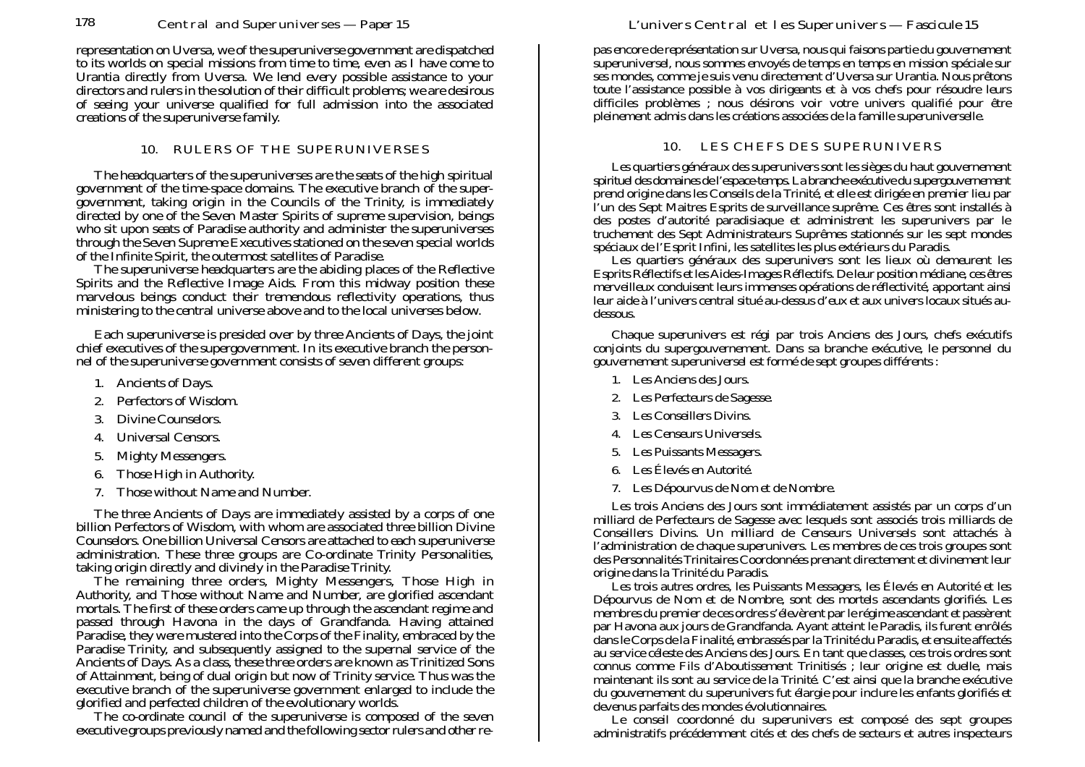representation on Uversa, we of the superuniverse government are dispatched to its worlds on special missions from time to time, even as I have come to Urantia directly from Uversa. We lend every possible assistance to your directors and rulers in the solution of their difficult problems; we are desirous of seeing your universe qualified for full admission into the associated creations of the superuniverse family.

## 10. RULERS OF THE SUPERUNIVERSES

The headquarters of the superuniverses are the seats of the high spiritual government of the time-space domains. The executive branch of the supergovernment, taking origin in the Councils of the Trinity, is immediately directed by one of the Seven Master Spirits of supreme supervision, beings who sit upon seats of Paradise authority and administer the superuniverses through the Seven Supreme Executives stationed on the seven special worlds of the Infinite Spirit, the outermost satellites of Paradise.

The superuniverse headquarters are the abiding places of the Reflective Spirits and the Reflective Image Aids. From this midway position these marvelous beings conduct their tremendous reflectivity operations, thus ministering to the central universe above and to the local universes below.

Each superuniverse is presided over by three Ancients of Days, the joint chief executives of the supergovernment. In its executive branch the personnel of the superuniverse government consists of seven different groups:

- 1. Ancients of Days.
- 2. Perfectors of Wisdom.
- 3. Divine Counselors.
- 4. Universal Censors.
- 5. Mighty Messengers.
- 6. Those High in Authority.
- 7. Those without Name and Number.

The three Ancients of Days are immediately assisted by a corps of one billion Perfectors of Wisdom, with whom are associated three billion Divine Counselors. One billion Universal Censors are attached to each superuniverse administration. These three groups are Co-ordinate Trinity Personalities, taking origin directly and divinely in the Paradise Trinity.

The remaining three orders, Mighty Messengers, Those High in Authority, and Those without Name and Number, are glorified ascendant mortals. The first of these orders came up through the ascendant regime and passed through Havona in the days of Grandfanda. Having attained Paradise, they were mustered into the Corps of the Finality, embraced by the Paradise Trinity, and subsequently assigned to the supernal service of the Ancients of Days. As a class, these three orders are known as Trinitized Sons of Attainment, being of dual origin but now of Trinity service. Thus was the executive branch of the superuniverse government enlarged to include the glorified and perfected children of the evolutionary worlds.

The co-ordinate council of the superuniverse is composed of the seven executive groups previously named and the following sector rulers and other re-

# <sup>178</sup> Central and Superuniverses — *Paper <sup>15</sup>* L'univers Central et les Superunivers — *Fascicule <sup>15</sup>*

pas encore de représentation sur Uversa, nous qui faisons partie du gouvernement superuniversel, nous sommes envoyés de temps en temps en mission spéciale sur ses mondes, comme je suis venu directement d'Uversa sur Urantia. Nous prêtons toute l'assistance possible à vos dirigeants et à vos chefs pour résoudre leurs difficiles problèmes ; nous désirons voir votre univers qualifié pour être pleinement admis dans les créations associées de la famille superuniverselle.

# 10. LES CHEFS DES SUPERUNIVERS

Les quartiers généraux des superunivers sont les sièges du haut gouvernement spirituel des domaines de l'espace-temps. La branche exécutive du supergouvernement prend origine dans les Conseils de la Trinité, et elle est dirigée en premier lieu par l'un des Sept Maitres Esprits de surveillance suprême. Ces êtres sont installés à des postes d'autorité paradisiaque et administrent les superunivers par le truchement des Sept Administrateurs Suprêmes stationnés sur les sept mondes spéciaux de l'Esprit Infini, les satellites les plus extérieurs du Paradis.

Les quartiers généraux des superunivers sont les lieux où demeurent les Esprits Réflectifs et les Aides-Images Réflectifs. De leur position médiane, ces êtres merveilleux conduisent leurs immenses opérations de réflectivité, apportant ainsi leur aide à l'univers central situé au-dessus d'eux et aux univers locaux situés audessous.

Chaque superunivers est régi par trois Anciens des Jours, chefs exécutifs conjoints du supergouvernement. Dans sa branche exécutive, le personnel du gouvernement superuniversel est formé de sept groupes différents :

- 1. Les Anciens des Jours.
- 2. Les Perfecteurs de Sagesse.
- 3. Les Conseillers Divins.
- 4. Les Censeurs Universels.
- 5. Les Puissants Messagers.
- 6. Les Élevés en Autorité.
- 7. Les Dépourvus de Nom et de Nombre.

Les trois Anciens des Jours sont immédiatement assistés par un corps d'un milliard de Perfecteurs de Sagesse avec lesquels sont associés trois milliards de Conseillers Divins. Un milliard de Censeurs Universels sont attachés à l'administration de chaque superunivers. Les membres de ces trois groupes sont des Personnalités Trinitaires Coordonnées prenant directement et divinement leur

Les trois autres ordres, les Puissants Messagers, les Élevés en Autorité et les Dépourvus de Nom et de Nombre, sont des mortels ascendants glorifiés. Les membres du premier de ces ordres s'élevèrent par le régime ascendant et passèrent par Havona aux jours de Grandfanda. Ayant atteint le Paradis, ils furent enrôlés dans le Corps de la Finalité, embrassés par la Trinité du Paradis, et ensuite affectés au service céleste des Anciens des Jours. En tant que classes, ces trois ordres sont connus comme Fils d'Aboutissement Trinitisés ; leur origine est duelle, mais maintenant ils sont au service de la Trinité. C'est ainsi que la branche exécutive du gouvernement du superunivers fut élargie pour inclure les enfants glorifiés et devenus parfaits des mondes évolutionnaires.

Le conseil coordonné du superunivers est composé des sept groupes administratifs précédemment cités et des chefs de secteurs et autres inspecteurs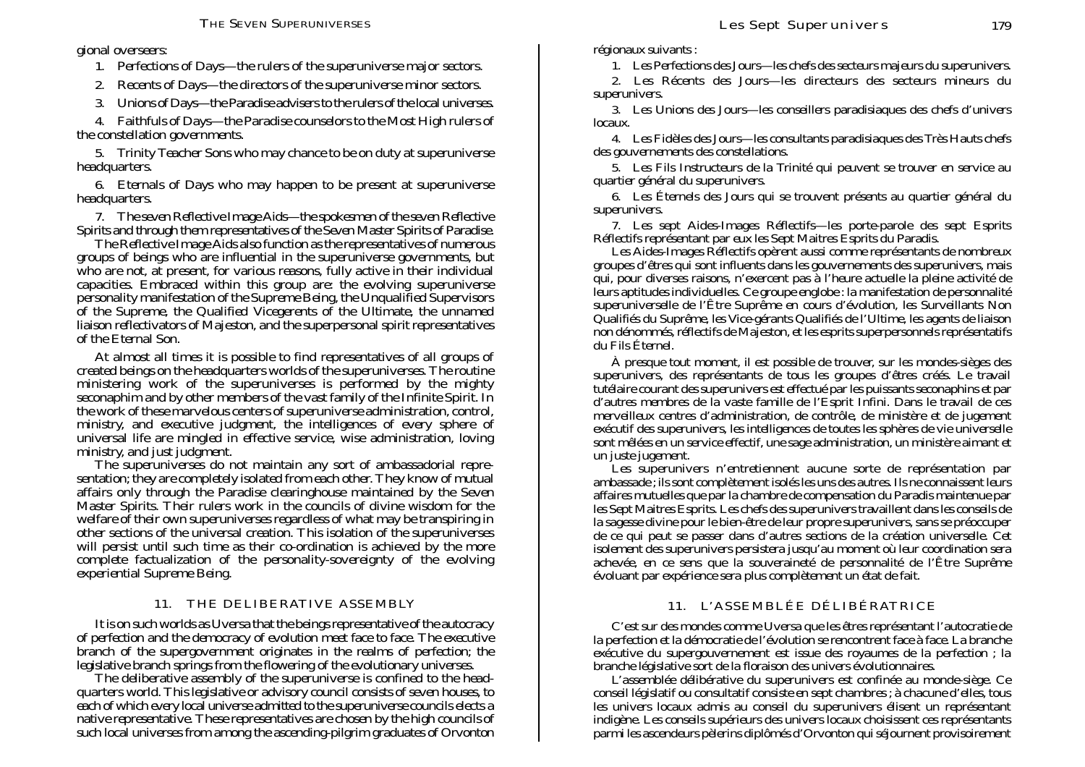gional overseers:

1. Perfections of Days—the rulers of the superuniverse major sectors.

2. Recents of Days—the directors of the superuniverse minor sectors.

3. Unions of Days—the Paradise advisers to the rulers of the local universes.

4. Faithfuls of Days—the Paradise counselors to the Most High rulers of the constellation governments.

5. Trinity Teacher Sons who may chance to be on duty at superuniverse headquarters.

6. Eternals of Days who may happen to be present at superuniverse headquarters.

7. The seven Reflective Image Aids—the spokesmen of the seven Reflective Spirits and through them representatives of the Seven Master Spirits of Paradise.

The Reflective Image Aids also function as the representatives of numerous groups of beings who are influential in the superuniverse governments, but who are not, at present, for various reasons, fully active in their individual capacities. Embraced within this group are: the evolving superuniverse personality manifestation of the Supreme Being, the Unqualified Supervisors of the Supreme, the Qualified Vicegerents of the Ultimate, the unnamed liaison reflectivators of Majeston, and the superpersonal spirit representatives of the Eternal Son.

At almost all times it is possible to find representatives of all groups of created beings on the headquarters worlds of the superuniverses. The routine ministering work of the superuniverses is performed by the mighty seconaphim and by other members of the vast family of the Infinite Spirit. In the work of these marvelous centers of superuniverse administration, control, ministry, and executive judgment, the intelligences of every sphere of universal life are mingled in effective service, wise administration, loving ministry, and just judgment.

The superuniverses do not maintain any sort of ambassadorial representation; they are completely isolated from each other. They know of mutual affairs only through the Paradise clearinghouse maintained by the Seven Master Spirits. Their rulers work in the councils of divine wisdom for the welfare of their own superuniverses regardless of what may be transpiring in other sections of the universal creation. This isolation of the superuniverses will persist until such time as their co-ordination is achieved by the more complete factualization of the personality-sovereignty of the evolving experiential Supreme Being.

# 11. THE DELIBERATIVE ASSEMBLY

It is on such worlds as Uversa that the beings representative of the autocracy of perfection and the democracy of evolution meet face to face. The executive branch of the supergovernment originates in the realms of perfection; the legislative branch springs from the flowering of the evolutionary universes.

The deliberative assembly of the superuniverse is confined to the headquarters world. This legislative or advisory council consists of seven houses, to each of which every local universe admitted to the superuniverse councils elects a native representative. These representatives are chosen by the high councils of such local universes from among the ascending-pilgrim graduates of Orvonton

régionaux suivants :

1. Les Perfections des Jours—les chefs des secteurs majeurs du superunivers.

2. Les Récents des Jours—les directeurs des secteurs mineurs du superunivers.

3. Les Unions des Jours—les conseillers paradisiaques des chefs d'univers locaux.

4. Les Fidèles des Jours—les consultants paradisiaques des Très Hauts chefs des gouvernements des constellations.

5. Les Fils Instructeurs de la Trinité qui peuvent se trouver en service au quartier général du superunivers.

<sup>6</sup>. Les Éternels des Jours qui se trouvent présents au quartier général du superunivers.

7. Les sept Aides-Images Réflectifs—les porte-parole des sept Esprits Réflectifs représentant par eux les Sept Maitres Esprits du Paradis.

Les Aides-Images Réflectifs opèrent aussi comme représentants de nombreux groupes d'êtres qui sont influents dans les gouvernements des superunivers, mais qui, pour diverses raisons, n'exercent pas à l'heure actuelle la pleine activité de superuniverselle de l'Être Suprème en cours d'évolution, les Surveillants Non Qualifiés du Suprême, les Vice-gérants Qualifiés de l'Ultime, les agents de liaison non dénommés, réflectifs de Majeston, et les esprits superpersonnels représentatifs du Fils Éternel.

À presque tout moment, il est possible de trouver, sur les mondes-sièges des superunivers, des représentants de tous les groupes d'êtres créés. Le travail tutélaire courant des superunivers est effectué par les puissants seconaphins et par d'autres membres de la vaste famille de l'Esprit Infini. Dans le travail de ces merveilleux centres d'administration, de contrôle, de ministère et de jugement exécutif des superunivers, les intelligences de toutes les sphères de vie universelle sont mêlées en un service effectif, une sage administration, un ministère aimant et un juste jugement.

Les superunivers n'entretiennent aucune sorte de représentation par ambassade ; ils sont complètement isolés les uns des autres. Ils ne connaissent leurs affaires mutuelles que par la chambre de compensation du Paradis maintenue par les Sept Maitres Esprits. Les chefs des superunivers travaillent dans les conseils de la sagesse divine pour le bien-être de leur propre superunivers, sans se préoccuper de ce qui peut se passer dans d'autres sections de la création universelle. Cet isolement des superunivers persistera jusqu'au moment où leur coordination sera achevée, en ce sens que la souveraineté de personnalité de l'Être Suprême évoluant par expérience sera plus complètement un état de fait.

# 11. L'ASSEMBLÉE DÉLIBÉRATRICE

C'est sur des mondes comme Uversa que les êtres représentant l'autocratie de la perfection et la démocratie de l'évolution se rencontrent face à face. La branche exécutive du supergouvernement est issue des royaumes de la perfection ; la branche législative sort de la floraison des univers évolutionnaires.

L'assemblée délibérative du superunivers est confinée au monde-siège. Ce conseil législatif ou consultatif consiste en sept chambres ; à chacune d'elles, tous les univers locaux admis au conseil du superunivers élisent un représentant indigène. Les conseils supérieurs des univers locaux choisissent ces représentants parmi les ascendeurs pèlerins diplômés d'Orvonton qui séjournent provisoirement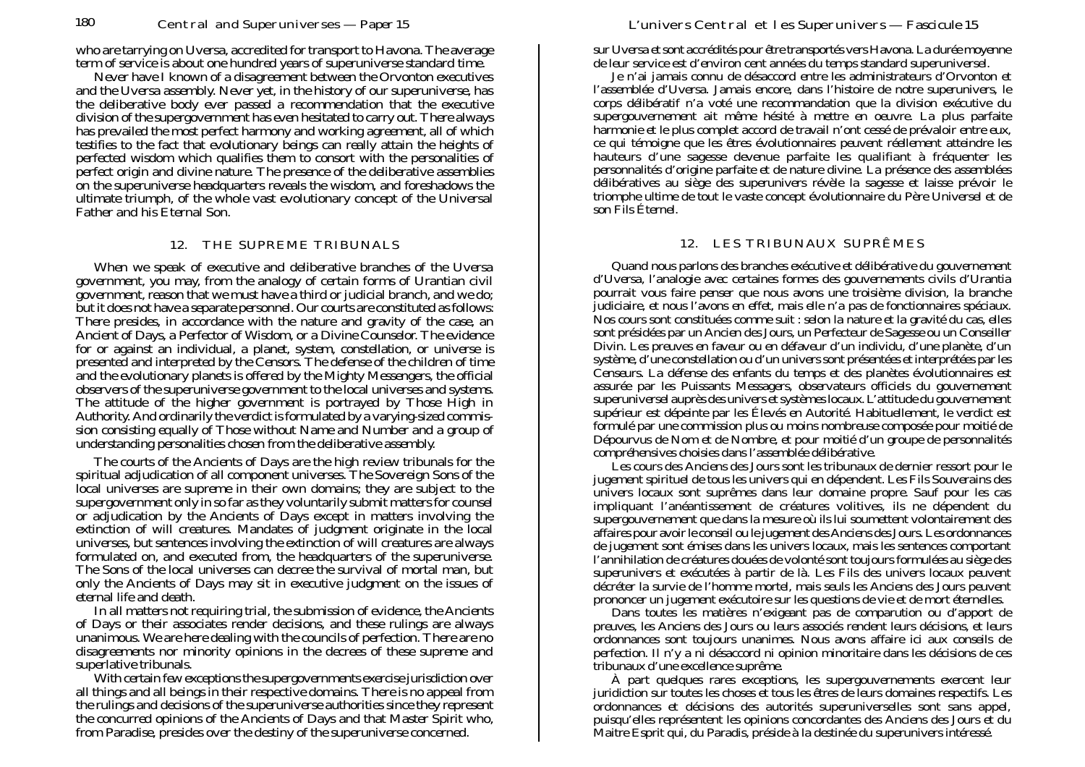who are tarrying on Uversa, accredited for transport to Havona. The average term of service is about one hundred years of superuniverse standard time.

Never have I known of a disagreement between the Orvonton executives and the Uversa assembly. Never yet, in the history of our superuniverse, has the deliberative body ever passed a recommendation that the executive division of the supergovernment has even hesitated to carry out. There always has prevailed the most perfect harmony and working agreement, all of which testifies to the fact that evolutionary beings can really attain the heights of perfected wisdom which qualifies them to consort with the personalities of perfect origin and divine nature. The presence of the deliberative assemblies on the superuniverse headquarters reveals the wisdom, and foreshadows the ultimate triumph, of the whole vast evolutionary concept of the Universal Father and his Eternal Son.

#### 12. THE SUPREME TRIBUNALS

When we speak of executive and deliberative branches of the Uversa government, you may, from the analogy of certain forms of Urantian civil government, reason that we must have a third or judicial branch, and we do; but it does not have a separate personnel. Our courts are constituted as follows: There presides, in accordance with the nature and gravity of the case, an Ancient of Days, a Perfector of Wisdom, or a Divine Counselor. The evidence for or against an individual, a planet, system, constellation, or universe is presented and interpreted by the Censors. The defense of the children of time and the evolutionary planets is offered by the Mighty Messengers, the official observers of the superuniverse government to the local universes and systems. The attitude of the higher government is portrayed by Those High in Authority. And ordinarily the verdict is formulated by a varying-sized commission consisting equally of Those without Name and Number and a group of understanding personalities chosen from the deliberative assembly.

The courts of the Ancients of Days are the high review tribunals for the spiritual adjudication of all component universes. The Sovereign Sons of the local universes are supreme in their own domains; they are subject to the supergovernment only in so far as they voluntarily submit matters for counsel or adjudication by the Ancients of Days except in matters involving the extinction of will creatures. Mandates of judgment originate in the local universes, but sentences involving the extinction of will creatures are always formulated on, and executed from, the headquarters of the superuniverse. The Sons of the local universes can decree the survival of mortal man, but only the Ancients of Days may sit in executive judgment on the issues of eternal life and death.

In all matters not requiring trial, the submission of evidence, the Ancients of Days or their associates render decisions, and these rulings are always unanimous. We are here dealing with the councils of perfection. There are no disagreements nor minority opinions in the decrees of these supreme and superlative tribunals.

With certain few exceptions the supergovernments exercise jurisdiction over all things and all beings in their respective domains. There is no appeal from the rulings and decisions of the superuniverse authorities since they represent the concurred opinions of the Ancients of Days and that Master Spirit who, from Paradise, presides over the destiny of the superuniverse concerned.

sur Uversa et sont accrédités pour être transportés vers Havona. La durée moyenne de leur service est d'environ cent années du temps standard superuniversel.

Je n'ai jamais connu de désaccord entre les administrateurs d'Orvonton et l'assemblée d'Uversa. Jamais encore, dans l'histoire de notre superunivers, le corps délibératif n'a voté une recommandation que la division exécutive du supergouvernement ait même hésité à mettre en oeuvre. La plus parfaite harmonie et le plus complet accord de travail n'ont cessé de prévaloir entre eux, ce qui témoigne que les êtres évolutionnaires peuvent réellement atteindre les hauteurs d'une sagesse devenue parfaite les qualifiant à fréquenter les personnalités d'origine parfaite et de nature divine. La présence des assemblées délibératives au siège des superunivers révèle la sagesse et laisse prévoir le triomphe ultime de tout le vaste concept évolutionnaire du Père Universel et de son Fils Éternel.

## 12. LES TRIBUNAUX SUPRÊMES

Quand nous parlons des branches exécutive et délibérative du gouvernement d'Uversa, l'analogie avec certaines formes des gouvernements civils d'Urantia pourrait vous faire penser que nous avons une troisième division, la branche judiciaire, et nous l'avons en effet, mais elle n'a pas de fonctionnaires spéciaux. Nos cours sont constituées comme suit : selon la nature et la gravité du cas, elles sont présidées par un Ancien des Jours, un Perfecteur de Sagesse ou un Conseiller Divin. Les preuves en faveur ou en défaveur d'un individu, d'une planète, d'un système, d'une constellation ou d'un univers sont présentées et interprétées par les Censeurs. La défense des enfants du temps et des planètes évolutionnaires est assurée par les Puissants Messagers, observateurs officiels du gouvernement superuniversel auprès des univers et systèmes locaux. L'attitude du gouvernement supérieur est dépeinte par les Élevés en Autorité. Habituellement, le verdict est formulé par une commission plus ou moins nombreuse composée pour moitié de Dépourvus de Nom et de Nombre, et pour moitié d'un groupe de personnalités compréhensives choisies dans l'assemblée délibérative.

Les cours des Anciens des Jours sont les tribunaux de dernier ressort pour le jugement spirituel de tous les univers qui en dépendent. Les Fils Souverains des univers locaux sont suprêmes dans leur domaine propre. Sauf pour les cas impliquant l'anéantissement de créatures volitives, ils ne dépendent du supergouvernement que dans la mesure où ils lui soumettent volontairement des affaires pour avoir le conseil ou le jugement des Anciens des Jours. Les ordonnances de jugement sont émises dans les univers locaux, mais les sentences comportant l'annihilation de créatures douées de volonté sont toujours formulées au siège des superunivers et exécutées à partir de là. Les Fils des univers locaux peuvent décréter la survie de l'homme mortel, mais seuls les Anciens des Jours peuvent prononcer un jugement exécutoire sur les questions de vie et de mort éternelles.

Dans toutes les matières n'exigeant pas de comparution ou d'apport de preuves, les Anciens des Jours ou leurs associés rendent leurs décisions, et leurs ordonnances sont toujours unanimes. Nous avons affaire ici aux conseils de perfection. Il n'y a ni désaccord ni opinion minoritaire dans les décisions de ces

tribunaux d'une excellence suprême. À part quelques rares exceptions, les supergouvernements exercent leur juridiction sur toutes les choses et tous les êtres de leurs domaines respectifs. Les ordonnances et décisions des autorités superuniverselles sont sans appel, puisqu'elles représentent les opinions concordantes des Anciens des Jours et du Maitre Esprit qui, du Paradis, préside à la destinée du superunivers intéressé.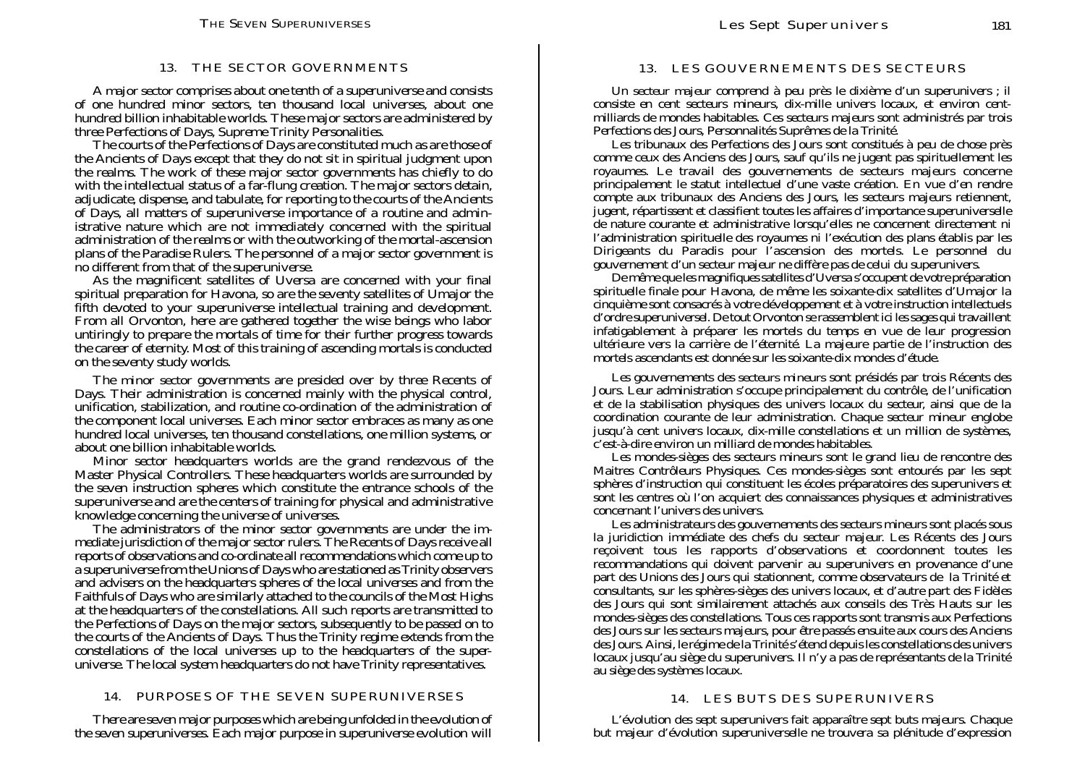## 13. THE SECTOR GOVERNMENTS

A *major sector* comprises about one tenth of a superuniverse and consists of one hundred minor sectors, ten thousand local universes, about one hundred billion inhabitable worlds. These major sectors are administered by three Perfections of Days, Supreme Trinity Personalities.

The courts of the Perfections of Days are constituted much as are those of the Ancients of Days except that they do not sit in spiritual judgment upon the realms. The work of these major sector governments has chiefly to do with the intellectual status of a far-flung creation. The major sectors detain, adjudicate, dispense, and tabulate, for reporting to the courts of the Ancients of Days, all matters of superuniverse importance of a routine and administrative nature which are not immediately concerned with the spiritual administration of the realms or with the outworking of the mortal-ascension plans of the Paradise Rulers. The personnel of a major sector government is no different from that of the superuniverse.

As the magnificent satellites of Uversa are concerned with your final spiritual preparation for Havona, so are the seventy satellites of Umajor the fifth devoted to your superuniverse intellectual training and development. From all Orvonton, here are gathered together the wise beings who labor untiringly to prepare the mortals of time for their further progress towards the career of eternity. Most of this training of ascending mortals is conducted on the seventy study worlds.

The *minor sector* governments are presided over by three Recents of Days. Their administration is concerned mainly with the physical control, unification, stabilization, and routine co-ordination of the administration of the component local universes. Each minor sector embraces as many as one hundred local universes, ten thousand constellations, one million systems, or about one billion inhabitable worlds.

Minor sector headquarters worlds are the grand rendezvous of the Master Physical Controllers. These headquarters worlds are surrounded by the seven instruction spheres which constitute the entrance schools of the superuniverse and are the centers of training for physical and administrative knowledge concerning the universe of universes.

The administrators of the minor sector governments are under the immediate jurisdiction of the major sector rulers. The Recents of Days receive all reports of observations and co-ordinate all recommendations which come up to a superuniverse from the Unions of Days who are stationed as Trinity observers and advisers on the headquarters spheres of the local universes and from the Faithfuls of Days who are similarly attached to the councils of the Most Highs at the headquarters of the constellations. All such reports are transmitted to the Perfections of Days on the major sectors, subsequently to be passed on to the courts of the Ancients of Days. Thus the Trinity regime extends from the constellations of the local universes up to the headquarters of the superuniverse. The local system headquarters do not have Trinity representatives.

#### 14. PURPOSES OF THE SEVEN SUPERUNIVERSES

There are seven major purposes which are being unfolded in the evolution of the seven superuniverses. Each major purpose in superuniverse evolution will

#### 13. LES GOUVERNEMENTS DES SECTEURS

Un *secteur majeur* comprend à peu près le dixième d'un superunivers ; il consiste en cent secteurs mineurs, dix-mille univers locaux, et environ centmilliards de mondes habitables. Ces secteurs majeurs sont administrés par trois Perfections des Jours, Personnalités Suprêmes de la Trinité.

Les tribunaux des Perfections des Jours sont constitués à peu de chose près comme ceux des Anciens des Jours, sauf qu'ils ne jugent pas spirituellement les royaumes. Le travail des gouvernements de secteurs majeurs concerne principalement le statut intellectuel d'une vaste création. En vue d'en rendre compte aux tribunaux des Anciens des Jours, les secteurs majeurs retiennent, jugent, répartissent et classifient toutes les affaires d'importance superuniverselle de nature courante et administrative lorsqu'elles ne concernent directement ni l'administration spirituelle des royaumes ni l'exécution des plans établis par les Dirigeants du Paradis pour l'ascension des mortels. Le personnel du gouvernement d'un secteur majeur ne diffère pas de celui du superunivers.

De même que les magnifiques satellites d'Uversa s'occupent de votre préparation spirituelle finale pour Havona, de même les soixante-dix satellites d'Umajor la cinquième sont consacrés à votre développement et à votre instruction intellectuels d'ordre superuniversel. De tout Orvonton se rassemblent ici les sages qui travaillent infatigablement à préparer les mortels du temps en vue de leur progression ultérieure vers la carrière de l'éternité. La majeure partie de l'instruction des mortels ascendants est donnée sur les soixante-dix mondes d'étude.

Les gouvernements des *secteurs mineurs* sont présidés par trois Récents des Jours. Leur administration s'occupe principalement du contrôle, de l'unification et de la stabilisation physiques des univers locaux du secteur, ainsi que de la coordination courante de leur administration. Chaque secteur mineur englobe jusqu'à cent univers locaux, dix-mille constellations et un million de systèmes, c'est-à-dire environ un milliard de mondes habitables.

Les mondes-sièges des secteurs mineurs sont le grand lieu de rencontre des Maitres Contrôleurs Physiques. Ces mondes-sièges sont entourés par les sept sphères d'instruction qui constituent les écoles préparatoires des superunivers et sont les centres où l'on acquiert des connaissances physiques et administratives concernant l'univers des univers.

Les administrateurs des gouvernements des secteurs mineurs sont placés sous la juridiction immédiate des chefs du secteur majeur. Les Récents des Jours reçoivent tous les rapports d'observations et coordonnent toutes les recommandations qui doivent parvenir au superunivers en provenance d'une part des Unions des Jours qui stationnent, comme observateurs de la Trinité et consultants, sur les sphères-sièges des univers locaux, et d'autre part des Fidèles des Jours qui sont similairement attachés aux conseils des Très Hauts sur les mondes-sièges des constellations. Tous ces rapports sont transmis aux Perfections des Jours sur les secteurs majeurs, pour être passés ensuite aux cours des Anciens des Jours. Ainsi, le régime de la Trinité s'étend depuis les constellations des univers locaux jusqu'au siège du superunivers. Il n'y a pas de représentants de la Trinité au siège des systèmes locaux.

#### 14. LES BUTS DES SUPERUNIVERS

L'évolution des sept superunivers fait apparaître sept buts majeurs. Chaque but majeur d'évolution superuniverselle ne trouvera sa plénitude d'expression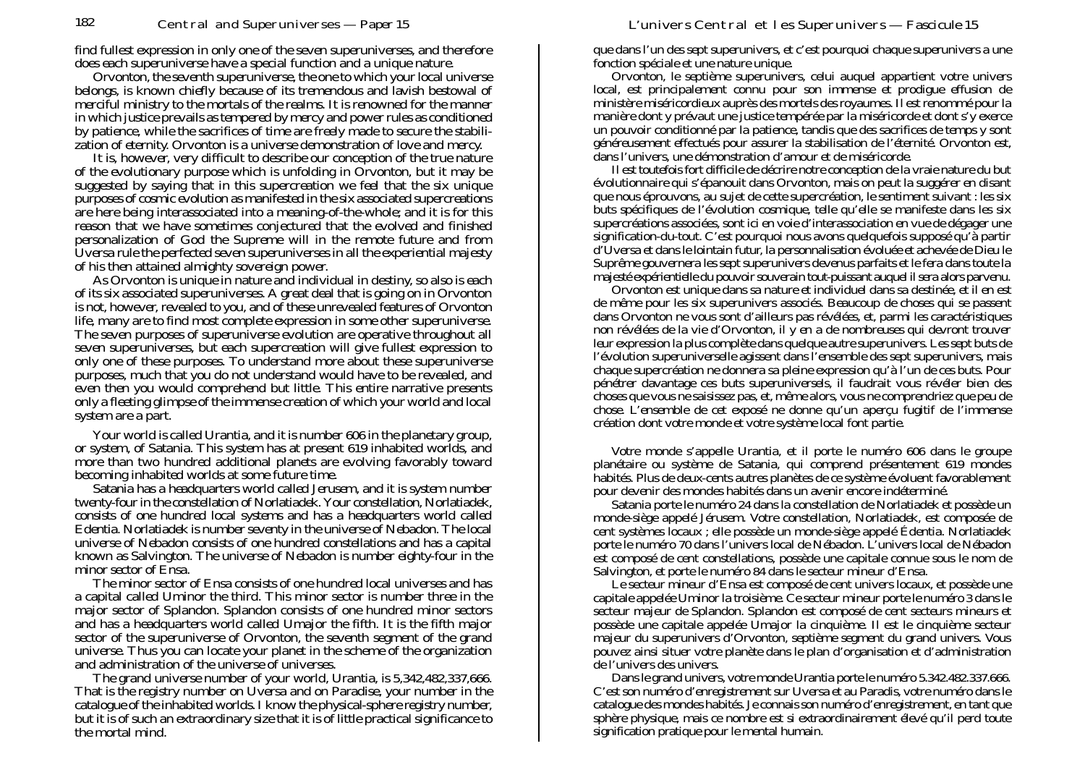find fullest expression in only one of the seven superuniverses, and therefore does each superuniverse have a special function and a unique nature.

Orvonton, the seventh superuniverse, the one to which your local universe belongs, is known chiefly because of its tremendous and lavish bestowal of merciful ministry to the mortals of the realms. It is renowned for the manner in which justice prevails as tempered by mercy and power rules as conditioned by patience, while the sacrifices of time are freely made to secure the stabilization of eternity. Orvonton is a universe demonstration of love and mercy.

It is, however, very difficult to describe our conception of the true nature of the evolutionary purpose which is unfolding in Orvonton, but it may be suggested by saying that in this supercreation we feel that the six unique purposes of cosmic evolution as manifested in the six associated supercreations are here being interassociated into a meaning-of-the-whole; and it is for this reason that we have sometimes conjectured that the evolved and finished personalization of God the Supreme will in the remote future and from Uversa rule the perfected seven superuniverses in all the experiential majesty of his then attained almighty sovereign power.

As Orvonton is unique in nature and individual in destiny, so also is each of its six associated superuniverses. A great deal that is going on in Orvonton is not, however, revealed to you, and of these unrevealed features of Orvonton life, many are to find most complete expression in some other superuniverse. The seven purposes of superuniverse evolution are operative throughout all seven superuniverses, but each supercreation will give fullest expression to only one of these purposes. To understand more about these superuniverse purposes, much that you do not understand would have to be revealed, and even then you would comprehend but little. This entire narrative presents only a fleeting glimpse of the immense creation of which your world and local system are a part.

Your world is called Urantia, and it is number 606 in the planetary group, or system, of Satania. This system has at present 619 inhabited worlds, and more than two hundred additional planets are evolving favorably toward

Satania has a headquarters world called Jerusem, and it is system number twenty-four in the constellation of Norlatiadek. Your constellation, Norlatiadek, consists of one hundred local systems and has a headquarters world called Edentia. Norlatiadek is number seventy in the universe of Nebadon. The local universe of Nebadon consists of one hundred constellations and has a capital known as Salvington. The universe of Nebadon is number eighty-four in the minor sector of Ensa.

The minor sector of Ensa consists of one hundred local universes and has a capital called Uminor the third. This minor sector is number three in the major sector of Splandon. Splandon consists of one hundred minor sectors and has a headquarters world called Umajor the fifth. It is the fifth major sector of the superuniverse of Orvonton, the seventh segment of the grand universe. Thus you can locate your planet in the scheme of the organization and administration of the universe of universes.

The grand universe number of your world, Urantia, is 5,342,482,337,666. That is the registry number on Uversa and on Paradise, your number in the catalogue of the inhabited worlds. I know the physical-sphere registry number, but it is of such an extraordinary size that it is of little practical significance to the mortal mind.

que dans l'un des sept superunivers, et c'est pourquoi chaque superunivers a une fonction spéciale et une nature unique.

Orvonton, le septième superunivers, celui auquel appartient votre univers local, est principalement connu pour son immense et prodigue effusion de ministère miséricordieux auprès des mortels des royaumes. Il est renommé pour la manière dont y prévaut une justice tempérée par la miséricorde et dont s'y exerce un pouvoir conditionné par la patience, tandis que des sacrifices de temps y sont généreusement effectués pour assurer la stabilisation de l'éternité. Orvonton est, dans l'univers, une démonstration d'amour et de miséricorde.

Il est toutefois fort difficile de décrire notre conception de la vraie nature du but évolutionnaire qui s'épanouit dans Orvonton, mais on peut la suggérer en disant que nous éprouvons, au sujet de cette supercréation, le sentiment suivant : les six buts spécifiques de l'évolution cosmique, telle qu'elle se manifeste dans les six supercréations associées, sont ici en voie d'interassociation en vue de dégager une signification-du-tout. C'est pourquoi nous avons quelquefois supposé qu'à partir d'Uversa et dans le lointain futur, la personnalisation évoluée et achevée de Dieu le Suprême gouvernera les sept superunivers devenus parfaits et le fera dans toute la majesté expérientielle du pouvoir souverain tout-puissant auquel il sera alors parvenu.

Orvonton est unique dans sa nature et individuel dans sa destinée, et il en est de même pour les six superunivers associés. Beaucoup de choses qui se passent dans Orvonton ne vous sont d'ailleurs pas révélées, et, parmi les caractéristiques non révélées de la vie d'Orvonton, il y en a de nombreuses qui devront trouver leur expression la plus complète dans quelque autre superunivers. Les sept buts de l'évolution superuniverselle agissent dans l'ensemble des sept superunivers, mais chaque supercréation ne donnera sa pleine expression qu'à l'un de ces buts. Pour pénétrer davantage ces buts superuniversels, il faudrait vous révéler bien des choses que vous ne saisissez pas, et, même alors, vous ne comprendriez que peu de chose. L'ensemble de cet exposé ne donne qu'un aperçu fugitif de l'immense création dont votre monde et votre système local font partie.

Votre monde s'appelle Urantia, et il porte le numéro 606 dans le groupe planétaire ou système de Satania, qui comprend présentement 619 mondes habités. Plus de deux-cents autres planètes de ce système évoluent favorablement pour devenir des mondes habités dans un avenir encore indéterminé.

Satania porte le numéro 24 dans la constellation de Norlatiadek et possède un cent systèmes locaux ; elle possède un monde-siège appelé Édentia. Norlatiadek porte le numéro 70 dans l'univers local de Nébadon. L'univers local de Nébadon est composé de cent constellations, possède une capitale connue sous le nom de Salvington, et porte le numéro 84 dans le secteur mineur d'Ensa.

Le secteur mineur d'Ensa est composé de cent univers locaux, et possède une capitale appelée Uminor la troisième. Ce secteur mineur porte le numéro 3 dans le secteur majeur de Splandon. Splandon est composé de cent secteurs mineurs et possède une capitale appelée Umajor la cinquième. Il est le cinquième secteur majeur du superunivers d'Orvonton, septième segment du grand univers. Vous pouvez ainsi situer votre planète dans le plan d'organisation et d'administration de l'univers des univers.

Dans le grand univers, votre monde Urantia porte le numéro 5.342.482.337.666. C'est son numéro d'enregistrement sur Uversa et au Paradis, votre numéro dans le catalogue des mondes habités. Je connais son numéro d'enregistrement, en tant que sphère physique, mais ce nombre est si extraordinairement élevé qu'il perd toute signification pratique pour le mental humain.